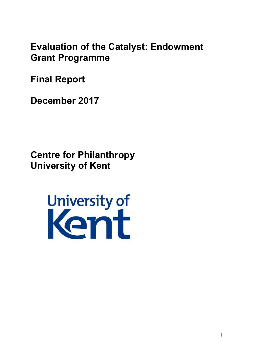**Evaluation of the Catalyst: Endowment Grant Programme** 

**Final Report** 

**December 2017** 

**Centre for Philanthropy University of Kent** 

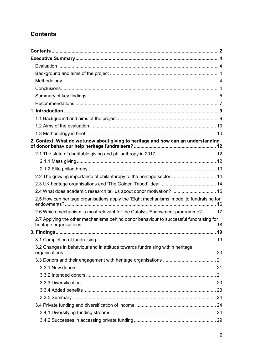# <span id="page-1-0"></span>**Contents**

| 2. Context: What do we know about giving to heritage and how can an understanding        |  |
|------------------------------------------------------------------------------------------|--|
|                                                                                          |  |
|                                                                                          |  |
|                                                                                          |  |
| 2.2 The growing importance of philanthropy to the heritage sector  14                    |  |
|                                                                                          |  |
| 2.4 What does academic research tell us about donor motivation?  15                      |  |
| 2.5 How can heritage organisations apply the 'Eight mechanisms' model to fundraising for |  |
| 2.6 Which mechanism is most relevant for the Catalyst Endowment programme?  17           |  |
| 2.7 Applying the other mechanisms behind donor behaviour to successful fundraising for   |  |
|                                                                                          |  |
|                                                                                          |  |
| 3.2 Changes in behaviour and in attitude towards fundraising within heritage             |  |
|                                                                                          |  |
|                                                                                          |  |
|                                                                                          |  |
|                                                                                          |  |
|                                                                                          |  |
|                                                                                          |  |
|                                                                                          |  |
|                                                                                          |  |
|                                                                                          |  |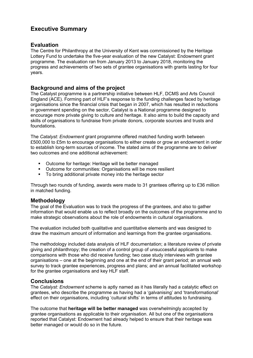# <span id="page-3-0"></span>**Executive Summary**

### <span id="page-3-1"></span>**Evaluation**

The Centre for Philanthropy at the University of Kent was commissioned by the Heritage Lottery Fund to undertake the five-year evaluation of the new Catalyst: Endowment grant programme. The evaluation ran from January 2013 to January 2018, monitoring the progress and achievements of two sets of grantee organisations with grants lasting for four years.

### <span id="page-3-2"></span>**Background and aims of the project**

The Catalyst programme is a partnership initiative between HLF, DCMS and Arts Council England (ACE). Forming part of HLF's response to the funding challenges faced by heritage organisations since the financial crisis that began in 2007, which has resulted in reductions in government spending on the sector, Catalyst is a National programme designed to encourage more private giving to culture and heritage. It also aims to build the capacity and skills of organisations to fundraise from private donors, corporate sources and trusts and foundations.

The *Catalyst: Endowment* grant programme offered matched funding worth between £500,000 to £5m to encourage organisations to either create or grow an endowment in order to establish long-term sources of income. The stated aims of the programme are to deliver two outcomes and one additional achievement:

- Outcome for heritage: Heritage will be better managed
- Outcome for communities: Organisations will be more resilient
- To bring additional private money into the heritage sector

<span id="page-3-3"></span>Through two rounds of funding, awards were made to 31 grantees offering up to £36 million in matched funding.

### **Methodology**

The goal of the Evaluation was to track the progress of the grantees, and also to gather information that would enable us to reflect broadly on the outcomes of the programme and to make strategic observations about the role of endowments in cultural organisations.

The evaluation included both qualitative and quantitative elements and was designed to draw the maximum amount of information and learnings from the grantee organisations.

The methodology included data analysis of HLF documentation; a literature review of private giving and philanthropy; the creation of a control group of unsuccessful applicants to make comparisons with those who did receive funding; two case study interviews with grantee organisations – one at the beginning and one at the end of their grant period; an annual web survey to track grantee experiences, progress and plans; and an annual facilitated workshop for the grantee organisations and key HLF staff.

### <span id="page-3-4"></span>**Conclusions**

The *Catalyst: Endowment* scheme is aptly named as it has literally had a catalytic effect on grantees, who describe the programme as having had a 'galvanising' and 'transformational' effect on their organisations, including 'cultural shifts' in terms of attitudes to fundraising.

The outcome that **heritage will be better managed** was overwhelmingly accepted by grantee organisations as applicable to their organisation. All but one of the organisations reported that Catalyst: Endowment had already helped to ensure that their heritage was better managed or would do so in the future.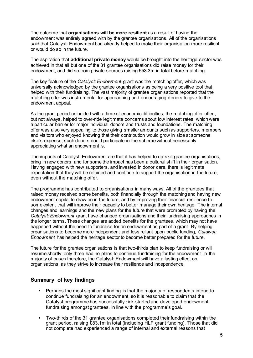The outcome that **organisations will be more resilient** as a result of having the endowment was entirely agreed with by the grantee organisations. All of the organisations said that Catalyst: Endowment had already helped to make their organisation more resilient or would do so in the future.

The aspiration that **additional private money** would be brought into the heritage sector was achieved in that all but one of the 31 grantee organisations did raise money for their endowment, and did so from private sources raising £53.3m in total before matching.

The key feature of the *Catalyst: Endowment* grant was the matching offer, which was universally acknowledged by the grantee organisations as being a very positive tool that helped with their fundraising. The vast majority of grantee organisations reported that the matching offer was instrumental for approaching and encouraging donors to give to the endowment appeal.

As the grant period coincided with a time of economic difficulties, the matching offer often, but not always, helped to over-ride legitimate concerns about low interest rates, which were a particular barrier for major individual donors and trusts and foundations. The matching offer was also very appealing to those giving smaller amounts such as supporters, members and visitors who enjoyed knowing that their contribution would grow in size at someone else's expense, such donors could participate in the scheme without necessarily appreciating what an endowment is.

The impacts of Catalyst: Endowment are that it has helped to up-skill grantee organisations, bring in new donors, and for some the impact has been a cultural shift in their organisation. Having engaged with new supporters, and invested in donor care, there is legitimate expectation that they will be retained and continue to support the organisation in the future, even without the matching offer.

The programme has contributed to organisations in many ways. All of the grantees that raised money received some benefits, both financially through the matching and having new endowment capital to draw on in the future, and by improving their financial resilience to some extent that will improve their capacity to better manage their own heritage. The internal changes and learnings and the new plans for the future that were prompted by having the *Catalyst: Endowment* grant have changed organisations and their fundraising approaches in the longer terms. These changes are added benefits for the grantees, which may not have happened without the need to fundraise for an endowment as part of a grant. By helping organisations to become more independent and less reliant upon public funding, *Catalyst: Endowment* has helped the heritage sector to become better prepared for the future.

The future for the grantee organisations is that two-thirds plan to keep fundraising or will resume shortly: only three had no plans to continue fundraising for the endowment. In the majority of cases therefore, the Catalyst: Endowment will have a lasting effect on organisations, as they strive to increase their resilience and independence.

### <span id="page-4-0"></span>**Summary of key findings**

- Perhaps the most significant finding is that the majority of respondents intend to continue fundraising for an endowment, so it is reasonable to claim that the Catalyst programme has successfully kick-started and developed endowment fundraising amongst grantees, in line with the programme's goal.
- Two-thirds of the 31 grantee organisations completed their fundraising within the grant period, raising £83.1m in total (including HLF grant funding). Those that did not complete had experienced a range of internal and external reasons that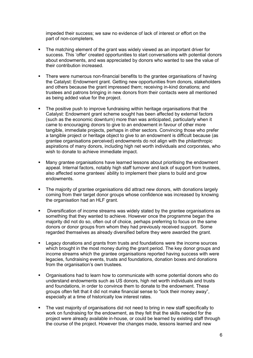impeded their success; we saw no evidence of lack of interest or effort on the part of non-completers.

- **The matching element of the grant was widely viewed as an important driver for** success. This 'offer' created opportunities to start conversations with potential donors about endowments, and was appreciated by donors who wanted to see the value of their contribution increased.
- There were numerous non-financial benefits to the grantee organisations of having the Catalyst: Endowment grant. Getting new opportunities from donors, stakeholders and others because the grant impressed them; receiving in-kind donations; and trustees and patrons bringing in new donors from their contacts were all mentioned as being added value for the project.
- The positive push to improve fundraising within heritage organisations that the Catalyst: Endowment grant scheme sought has been affected by external factors (such as the economic downturn) more than was anticipated, particularly when it came to encouraging donors to give to an endowment in favour of other more tangible, immediate projects, perhaps in other sectors. Convincing those who prefer a tangible project or heritage object to give to an endowment is difficult because (as grantee organisations perceived) endowments do not align with the philanthropic aspirations of many donors, including high net worth individuals and corporates, who wish to donate to achieve immediate impact.
- Many grantee organisations have learned lessons about prioritising the endowment appeal. Internal factors, notably high staff turnover and lack of support from trustees, also affected some grantees' ability to implement their plans to build and grow endowments.
- The majority of grantee organisations did attract new donors, with donations largely coming from their target donor groups whose confidence was increased by knowing the organisation had an HLF grant.
- **Diversification of income streams was widely stated by the grantee organisations as** something that they wanted to achieve. However once the programme began the majority did not do so, often out of choice, perhaps preferring to focus on the same donors or donor groups from whom they had previously received support. Some regarded themselves as already diversified before they were awarded the grant.
- Legacy donations and grants from trusts and foundations were the income sources which brought in the most money during the grant period. The key donor groups and income streams which the grantee organisations reported having success with were legacies, fundraising events, trusts and foundations, donation boxes and donations from the organisation's own trustees.
- Organisations had to learn how to communicate with some potential donors who do understand endowments such as US donors, high net worth individuals and trusts and foundations, in order to convince them to donate to the endowment. These groups often felt that it did not make financial sense to "lock their money away", especially at a time of historically low interest rates.
- The vast majority of organisations did not need to bring in new staff specifically to work on fundraising for the endowment, as they felt that the skills needed for the project were already available in-house, or could be learned by existing staff through the course of the project. However the changes made, lessons learned and new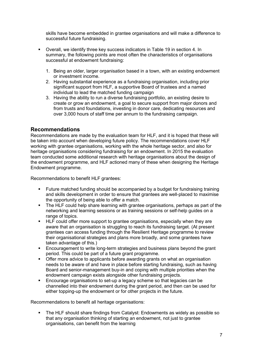skills have become embedded in grantee organisations and will make a difference to successful future fundraising.

- Overall, we identify three key success indicators in Table 19 in section 4. In summary, the following points are most often the characteristics of organisations successful at endowment fundraising:
	- 1. Being an older, larger organisation based in a town, with an existing endowment or investment income.
	- 2. Having substantial experience as a fundraising organisation, including prior significant support from HLF, a supportive Board of trustees and a named individual to lead the matched funding campaign
	- 3. Having the ability to run a diverse fundraising portfolio, an existing desire to create or grow an endowment, a goal to secure support from major donors and from trusts and foundations, investing in donor care, dedicating resources and over 3,000 hours of staff time per annum to the fundraising campaign.

## <span id="page-6-0"></span>**Recommendations**

Recommendations are made by the evaluation team for HLF, and it is hoped that these will be taken into account when developing future policy. The recommendations cover HLF working with grantee organisations, working with the whole heritage sector, and also for heritage organisations considering fundraising for an endowment. In 2015 the evaluation team conducted some additional research with heritage organisations about the design of the endowment programme, and HLF actioned many of these when designing the Heritage Endowment programme.

Recommendations to benefit HLF grantees:

- Future matched funding should be accompanied by a budget for fundraising training and skills development in order to ensure that grantees are well-placed to maximise the opportunity of being able to offer a match.
- The HLF could help share learning with grantee organisations, perhaps as part of the networking and learning sessions or as training sessions or self-help guides on a range of topics.
- HLF could offer more support to grantee organisations, especially when they are aware that an organisation is struggling to reach its fundraising target. (At present grantees can access funding through the Resilient Heritage programme to review their organisational strategies and plans more broadly, and some grantees have taken advantage of this.)
- **Encouragement to write long-term strategies and business plans beyond the grant** period. This could be part of a future grant programme.
- Offer more advice to applicants before awarding grants on what an organisation needs to be aware of and have in place before starting fundraising, such as having Board and senior-management buy-in and coping with multiple priorities when the endowment campaign exists alongside other fundraising projects.
- Encourage organisations to set-up a legacy scheme so that legacies can be channelled into their endowment during the grant period, and then can be used for either topping-up the endowment or for other projects in the future.

Recommendations to benefit all heritage organisations:

 The HLF should share findings from Catalyst: Endowments as widely as possible so that any organisation thinking of starting an endowment, not just to grantee organisations, can benefit from the learning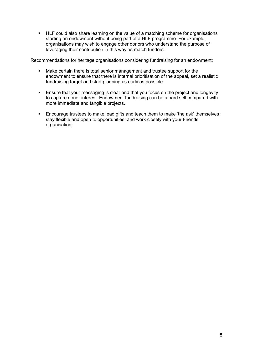HLF could also share learning on the value of a matching scheme for organisations starting an endowment without being part of a HLF programme. For example, organisations may wish to engage other donors who understand the purpose of leveraging their contribution in this way as match funders.

Recommendations for heritage organisations considering fundraising for an endowment:

- **Make certain there is total senior management and trustee support for the** endowment to ensure that there is internal prioritisation of the appeal, set a realistic fundraising target and start planning as early as possible.
- **Ensure that your messaging is clear and that you focus on the project and longevity** to capture donor interest. Endowment fundraising can be a hard sell compared with more immediate and tangible projects.
- Encourage trustees to make lead gifts and teach them to make 'the ask' themselves; stay flexible and open to opportunities; and work closely with your Friends organisation.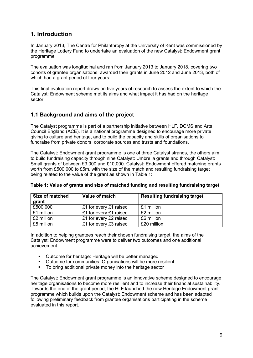# <span id="page-8-0"></span>**1. Introduction**

In January 2013, The Centre for Philanthropy at the University of Kent was commissioned by the Heritage Lottery Fund to undertake an evaluation of the new Catalyst: Endowment grant programme.

The evaluation was longitudinal and ran from January 2013 to January 2018, covering two cohorts of grantee organisations, awarded their grants in June 2012 and June 2013, both of which had a grant period of four years.

This final evaluation report draws on five years of research to assess the extent to which the Catalyst: Endowment scheme met its aims and what impact it has had on the heritage sector.

# <span id="page-8-1"></span>**1.1 Background and aims of the project**

The Catalyst programme is part of a partnership initiative between HLF, DCMS and Arts Council England (ACE). It is a national programme designed to encourage more private giving to culture and heritage, and to build the capacity and skills of organisations to fundraise from private donors, corporate sources and trusts and foundations.

The Catalyst: Endowment grant programme is one of three Catalyst strands, the others aim to build fundraising capacity through nine Catalyst: Umbrella grants and through Catalyst: Small grants of between £3,000 and £10,000. Catalyst: Endowment offered matching grants worth from £500,000 to £5m, with the size of the match and resulting fundraising target being related to the value of the grant as shown in Table 1:

| Size of matched<br>grant | Value of match         | <b>Resulting fundraising target</b> |
|--------------------------|------------------------|-------------------------------------|
| £500,000                 | £1 for every £1 raised | £1 million                          |
| £1 million               | £1 for every £1 raised | £2 million                          |
| £2 million               | £1 for every £2 raised | £6 million                          |
| £5 million               | £1 for every £3 raised | £20 million                         |

### **Table 1: Value of grants and size of matched funding and resulting fundraising target**

In addition to helping grantees reach their chosen fundraising target, the aims of the Catalyst: Endowment programme were to deliver two outcomes and one additional achievement:

- Outcome for heritage: Heritage will be better managed
- Outcome for communities: Organisations will be more resilient<br>■ To bring additional private money into the heritage sector
- To bring additional private money into the heritage sector

The Catalyst: Endowment grant programme is an innovative scheme designed to encourage heritage organisations to become more resilient and to increase their financial sustainability. Towards the end of the grant period, the HLF launched the new Heritage Endowment grant programme which builds upon the Catalyst: Endowment scheme and has been adapted following preliminary feedback from grantee organisations participating in the scheme evaluated in this report.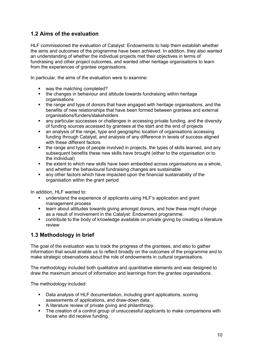# <span id="page-9-0"></span>**1.2 Aims of the evaluation**

HLF commissioned the evaluation of Catalyst: Endowments to help them establish whether the aims and outcomes of the programme have been achieved. In addition, they also wanted an understanding of whether the individual projects met their objectives in terms of fundraising and other project outcomes, and wanted other heritage organisations to learn from the experiences of grantee organisations.

In particular, the aims of the evaluation were to examine:

- was the matching completed?
- the changes in behaviour and attitude towards fundraising within heritage organisations
- the range and type of donors that have engaged with heritage organisations, and the benefits of new relationships that have been formed between grantees and external organisations/funders/stakeholders
- any particular successes or challenges in accessing private funding, and the diversity of funding sources accessed by grantees at the start and the end of projects
- an analysis of the range, type and geographic location of organisations accessing funding through Catalyst, and analysis of any difference in levels of success aligned with these different factors
- the range and type of people involved in projects, the types of skills learned, and any subsequent benefits these new skills have brought (either to the organisation or to the individual)
- $\blacksquare$  the extent to which new skills have been embedded across organisations as a whole, and whether the behavioural fundraising changes are sustainable
- any other factors which have impacted upon the financial sustainability of the organisation within the grant period

In addition, HLF wanted to:

- understand the experience of applicants using HLF's application and grant management process
- learn about attitudes towards giving amongst donors, and how these might change as a result of involvement in the Catalyst: Endowment programme.
- contribute to the body of knowledge available on private giving by creating a literature review

# <span id="page-9-1"></span>**1.3 Methodology in brief**

The goal of the evaluation was to track the progress of the grantees, and also to gather information that would enable us to reflect broadly on the outcomes of the programme and to make strategic observations about the role of endowments in cultural organisations.

The methodology included both qualitative and quantitative elements and was designed to draw the maximum amount of information and learnings from the grantee organisations.

The methodology included:

- Data analysis of HLF documentation, including grant applications, scoring assessments of applications, and draw-down data.
- A literature review of private giving and philanthropy.
- The creation of a control group of unsuccessful applicants to make comparisons with those who did receive funding.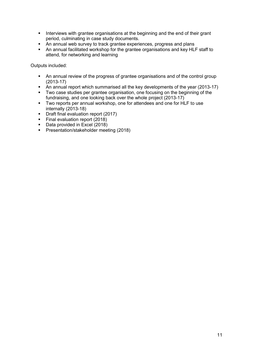- Interviews with grantee organisations at the beginning and the end of their grant period, culminating in case study documents.
- An annual web survey to track grantee experiences, progress and plans
- An annual facilitated workshop for the grantee organisations and key HLF staff to attend, for networking and learning

Outputs included:

- An annual review of the progress of grantee organisations and of the control group (2013-17)
- An annual report which summarised all the key developments of the year (2013-17)
- Two case studies per grantee organisation, one focusing on the beginning of the fundraising, and one looking back over the whole project (2013-17)
- Two reports per annual workshop, one for attendees and one for HLF to use internally (2013-18)
- **•** Draft final evaluation report (2017)
- Final evaluation report (2018)
- Data provided in Excel (2018)
- **Presentation/stakeholder meeting (2018)**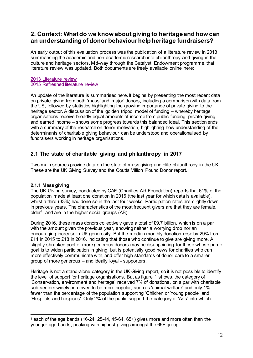# <span id="page-11-0"></span>**2. Context: What do we know about giving to heritage and how can an understanding of donor behaviour help heritage fundraisers?**

An early output of this evaluation process was the publication of a literature review in 2013 summarising the academic and non-academic research into philanthropy and giving in the culture and heritage sectors. Mid-way through the Catalyst: Endowment programme, that literature review was updated. Both documents are freely available online here:

### [2013 Literature review](https://www.hlf.org.uk/catalyst-endowments-evaluation) [2015 Refreshed literature review](https://www.hlf.org.uk/catalyst-endowments-evaluation)

An update of the literature is summarised here. It begins by presenting the most recent data on private giving from both 'mass' and 'major' donors, including a comparison with data from the US, followed by statistics highlighting the growing importance of private giving to the heritage sector. A discussion of the 'golden tripod' model of funding – whereby heritage organisations receive broadly equal amounts of income from public funding, private giving and earned income – shows some progress towards this balanced ideal. This section ends with a summary of the research on donor motivation, highlighting how understanding of the determinants of charitable giving behaviour can be understood and operationalised by fundraisers working in heritage organisations.

# <span id="page-11-1"></span>**2.1 The state of charitable giving and philanthropy in 2017**

Two main sources provide data on the state of mass giving and elite philanthropy in the UK. These are the UK Giving Survey and the Coutts Million Pound Donor report.

## <span id="page-11-2"></span>**2.1.1 Mass giving**

The UK Giving survey, conducted by CAF (Charities Aid Foundation) reports that 61% of the population made at least one donation in 2016 (the last year for which data is available), whilst a third (33%) had done so in the last four weeks. Participation rates are slightly down in previous years. The characteristics of the most frequent givers are that they are female, older<sup>1</sup> , and are in the higher social groups (AB).

During 2016, these mass donors collectively gave a total of £9.7 billion, which is on a par with the amount given the previous year, showing neither a worrying drop nor an encouraging increase in UK generosity. But the median monthly donation rose by 29% from £14 in 2015 to £18 in 2016, indicating that those who continue to give are giving more. A slightly shrunken pool of more generous donors may be disappointing for those whose prime goal is to widen participation in giving, but is potentially good news for charities who can more effectively communicate with, and offer high standards of donor care to a smaller group of more generous – and ideally loyal - supporters.

Heritage is not a stand-alone category in the UK Giving report, so it is not possible to identify the level of support for heritage organisations. But as figure 1 shows, the category of 'Conservation, environment and heritage' received 7% of donations, on a par with charitable sub-sectors widely perceived to be more popular, such as 'animal welfare' and only 1% fewer than the percentage of the population supporting 'Children or Young people' and 'Hospitals and hospices'. Only 2% of the public support the category of 'Arts' into which

 $1$  each of the age bands (16-24, 25-44, 45-64, 65+) gives more and more often than the younger age bands, peaking with highest giving amongst the 65+ group  $\ddot{ }$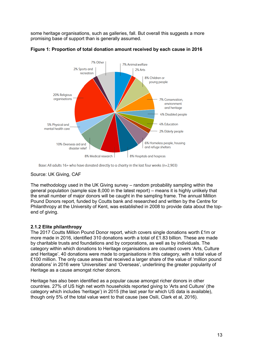some heritage organisations, such as galleries, fall. But overall this suggests a more promising base of support than is generally assumed.



**Figure 1: Proportion of total donation amount received by each cause in 2016** 

### Source: UK Giving, CAF

The methodology used in the UK Giving survey – random probability sampling within the general population (sample size 8,000 in the latest report) – means it is highly unlikely that the small number of major donors will be caught in the sampling frame. The annual Million Pound Donors report, funded by Coutts bank and researched and written by the Centre for Philanthropy at the University of Kent, was established in 2008 to provide data about the topend of giving.

## <span id="page-12-0"></span>**2.1.2 Elite philanthropy**

The 2017 Coutts Million Pound Donor report, which covers single donations worth £1m or more made in 2016, identified 310 donations worth a total of £1.83 billion. These are made by charitable trusts and foundations and by corporations, as well as by individuals. The category within which donations to Heritage organisations are counted covers 'Arts, Culture and Heritage'. 40 donations were made to organisations in this category, with a total value of £100 million. The only cause areas that received a larger share of the value of 'million pound donations' in 2016 were 'Universities' and 'Overseas', underlining the greater popularity of Heritage as a cause amongst richer donors.

Heritage has also been identified as a popular cause amongst richer donors in other countries. 27% of US high net worth households reported giving to 'Arts and Culture' (the category which includes 'heritage') in 2015 (the last year for which US data is available), though only 5% of the total value went to that cause (see Osili, Clark et al, 2016).

Base: All adults 16+ who have donated directly to a charity in the last four weeks (n=2,903)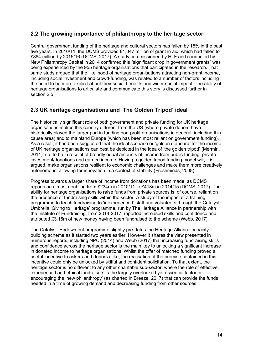# <span id="page-13-0"></span>**2.2 The growing importance of philanthropy to the heritage sector**

Central government funding of the heritage and cultural sectors has fallen by 15% in the past five years. In 2010/11, the DCMS provided £1,047 million of grant in aid, which had fallen to £884 million by 2015/16 (DCMS, 2017). A study commissioned by HLF and conducted by New Philanthropy Capital in 2014 confirmed this "significant drop in government grants" was being experienced by the 955 heritage organisations that participated in the research. That same study argued that the likelihood of heritage organisations attracting non-grant income, including social investment and crowd-funding, was related to a number of factors including the need to be more explicit about their social benefits and wider social impact. The ability of heritage organisations to articulate and communicate this story is discussed further in section 2.5.

# <span id="page-13-1"></span>**2.3 UK heritage organisations and 'The Golden Tripod' ideal**

The historically significant role of both government and private funding for UK heritage organisations makes this country different from the US (where private donors have historically played the larger part in funding non-profit organisations in general, including this cause area) and to mainland Europe (which has been most reliant on government funding). As a result, it has been suggested that the ideal scenario or 'golden standard' for the income of UK heritage organisations can best be depicted in the idea of 'the golden tripod' (Mermiri, 2011): i.e. to be in receipt of broadly equal amounts of income from public funding, private investment/donations and earned income. Having a golden tripod funding model will, it is argued, make organisations resilient to economic challenges and make them more creatively autonomous, allowing for innovation in a context of stability (Freshminds, 2008).

Progress towards a larger share of income from donations has been made, as DCMS reports an almost doubling from £234m in 2010/11 to £418m in 2014/15 (DCMS, 2017). The ability for heritage organisations to raise funds from private sources is, of course, reliant on the presence of fundraising skills within the sector. A study of the impact of a training programme to teach fundraising to 'inexperienced' staff and volunteers through the Catalyst: Umbrella 'Giving to Heritage' programme, run by The Heritage Alliance in partnership with the Institute of Fundraising, from 2014-2017, reported increased skills and confidence and attributed £3.15m of new money having been fundraised to the scheme (Webb, 2017).

The Catalyst: Endowment programme slightly pre-dates the Heritage Alliance capacity building scheme as it started two years earlier. However it shares the view presented in numerous reports, including NPC (2014) and Webb (2017) that increasing fundraising skills and confidence across the heritage sector is the main key to unlocking a significant increase in donated income to heritage organisations. Whilst the offer of matched funding proved a useful incentive to askers and donors alike, the realisation of the promise contained in this incentive could only be unlocked by skilful and confident solicitation. To that extent, the heritage sector is no different to any other charitable sub-sector, where the role of effective, experienced and ethical fundraisers is the largely overlooked yet essential factor in encouraging the 'new philanthropy' (as charted in Breeze, 2017) that can provide the funds needed in a time of growing demand and decreasing funding from other sources.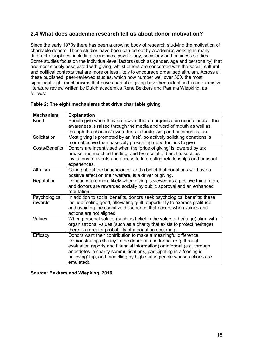# <span id="page-14-0"></span>**2.4 What does academic research tell us about donor motivation?**

Since the early 1970s there has been a growing body of research studying the motivation of charitable donors. These studies have been carried out by academics working in many different disciplines, including economics, psychology, sociology and business studies. Some studies focus on the individual-level factors (such as gender, age and personality) that are most closely associated with giving, whilst others are concerned with the social, cultural and political contexts that are more or less likely to encourage organised altruism. Across all these published, peer-reviewed studies, which now number well over 500, the most significant eight mechanisms that drive charitable giving have been identified in an extensive literature review written by Dutch academics Rene Bekkers and Pamala Wiepking, as follows:

| <b>Mechanism</b> | <b>Explanation</b>                                                         |
|------------------|----------------------------------------------------------------------------|
| <b>Need</b>      | People give when they are aware that an organisation needs funds - this    |
|                  | awareness is raised through the media and word of mouth as well as         |
|                  | through the charities' own efforts in fundraising and communication.       |
| Solicitation     | Most giving is prompted by an 'ask', so actively soliciting donations is   |
|                  | more effective than passively presenting opportunities to give.            |
| Costs/Benefits   | Donors are incentivised when the 'price of giving' is lowered by tax       |
|                  | breaks and matched funding, and by receipt of benefits such as             |
|                  | invitations to events and access to interesting relationships and unusual  |
|                  | experiences.                                                               |
| Altruism         | Caring about the beneficiaries, and a belief that donations will have a    |
|                  | positive effect on their welfare, is a driver of giving.                   |
| Reputation       | Donations are more likely when giving is viewed as a positive thing to do, |
|                  | and donors are rewarded socially by public approval and an enhanced        |
|                  | reputation.                                                                |
| Psychological    | In addition to social benefits, donors seek psychological benefits: these  |
| rewards          | include feeling good, alleviating guilt, opportunity to express gratitude  |
|                  | and avoiding the cognitive dissonance that occurs when values and          |
|                  | actions are not aligned.                                                   |
| Values           | When personal values (such as belief in the value of heritage) align with  |
|                  | organisational values (such as a charity that exists to protect heritage)  |
|                  | there is a greater probability of a donation occurring.                    |
| Efficacy         | Donors want their contribution to make a meaningful difference.            |
|                  | Demonstrating efficacy to the donor can be formal (e.g. through            |
|                  | evaluation reports and financial information) or informal (e.g. through    |
|                  | anecdotes in charity communications, participating in a 'seeing is         |
|                  | believing' trip, and modelling by high status people whose actions are     |
|                  | emulated).                                                                 |

| Table 2: The eight mechanisms that drive charitable giving |  |  |  |
|------------------------------------------------------------|--|--|--|
|------------------------------------------------------------|--|--|--|

#### **Source: Bekkers and Wiepking, 2016**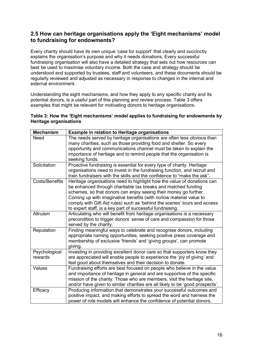# <span id="page-15-0"></span>**2.5 How can heritage organisations apply the 'Eight mechanisms' model to fundraising for endowments?**

Every charity should have its own unique 'case for support' that clearly and succinctly explains the organisation's purpose and why it needs donations. Every successful fundraising organisation will also have a detailed strategy that sets out how resources can best be used to maximise voluntary income. Both the case and strategy should be understood and supported by trustees, staff and volunteers, and these documents should be regularly reviewed and adjusted as necessary in response to changes in the internal and external environment.

Understanding the eight mechanisms, and how they apply to any specific charity and its potential donors, is a useful part of this planning and review process. Table 3 offers examples that might be relevant for motivating donors to heritage organisations.

### **Table 3: How the 'Eight mechanisms' model applies to fundraising for endowments by Heritage organisations**

| <b>Mechanism</b>      | <b>Example in relation to Heritage organisations</b>                          |
|-----------------------|-------------------------------------------------------------------------------|
| Need                  | The needs served by heritage organisations are often less obvious than        |
|                       | many charities, such as those providing food and shelter. So every            |
|                       | opportunity and communications channel must be taken to explain the           |
|                       | importance of heritage and to remind people that the organisation is          |
|                       | seeking funds.                                                                |
| Solicitation          | Proactive fundraising is essential for every type of charity. Heritage        |
|                       | organisations need to invest in the fundraising function, and recruit and     |
|                       | train fundraisers with the skills and the confidence to "make the ask".       |
| <b>Costs/Benefits</b> | Heritage organisations need to highlight how the value of donations can       |
|                       | be enhanced through charitable tax breaks and matched funding                 |
|                       | schemes, so that donors can enjoy seeing their money go further.              |
|                       | Coming up with imaginative benefits (with no/low material value to            |
|                       | comply with Gift Aid rules) such as 'behind the scenes' tours and access      |
|                       | to expert staff, is a key part of successful fundraising.                     |
| Altruism              | Articulating who will benefit from heritage organisations is a necessary      |
|                       | precondition to trigger donors' sense of care and compassion for those        |
|                       | served by the charity.                                                        |
| Reputation            | Finding meaningful ways to celebrate and recognise donors, including          |
|                       | appropriate naming opportunities, seeking positive press coverage and         |
|                       | membership of exclusive 'friends' and 'giving groups', can promote            |
|                       | giving.                                                                       |
| Psychological         | Investing in providing excellent donor care so that supporters know they      |
| rewards               | are appreciated will enable people to experience the 'joy of giving' and      |
|                       | feel good about themselves and their decision to donate.                      |
| Values                | Fundraising efforts are best focused on people who believe in the value       |
|                       | and importance of heritage in general and are supportive of the specific      |
|                       | mission of the charity. Those who are members, visit the heritage site,       |
|                       | and/or have given to similar charities are all likely to be 'good prospects'. |
| Efficacy              | Producing information that demonstrates your successful outcomes and          |
|                       | positive impact, and making efforts to spread the word and harness the        |
|                       | power of role models will enhance the confidence of potential donors.         |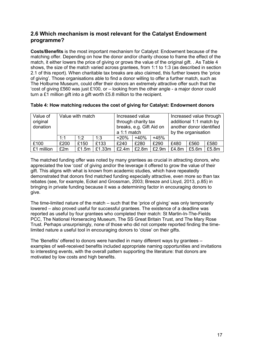# <span id="page-16-0"></span>**2.6 Which mechanism is most relevant for the Catalyst Endowment programme?**

**Costs/Benefits** is the most important mechanism for Catalyst: Endowment because of the matching offer. Depending on how the donor and/or charity choose to frame the effect of the match, it either lowers the price of giving or grows the value of the original gift. . As Table 4 shows, the size of the match varied across grantees, from 1:1 to 1:3 (as described in section 2.1 of this report). When charitable tax breaks are also claimed, this further lowers the 'price of giving'. Those organisations able to find a donor willing to offer a further match, such as The Holburne Museum, could offer their donors an extremely attractive offer such that the 'cost of giving £560 was just £100, or – looking from the other angle - a major donor could turn a £1 million gift into a gift worth £5.8 million to the recipient.

| Value of<br>original<br>donation |      | Value with match<br>Increased value through<br>Increased value<br>additional 1:1 match by<br>through charity tax<br>breaks, e.g. Gift Aid on<br>another donor identified<br>$a 1:1$ match<br>by the organisation |        |        |        |        |       |       |       |
|----------------------------------|------|------------------------------------------------------------------------------------------------------------------------------------------------------------------------------------------------------------------|--------|--------|--------|--------|-------|-------|-------|
|                                  | 1:1  | 1.2                                                                                                                                                                                                              | 1:3    | $+20%$ | $+40%$ | $+45%$ |       |       |       |
| £100                             | £200 | £150                                                                                                                                                                                                             | £133   | £240   | £280   | £290   | £480  | £560  | £580  |
| £1 million                       | £2m  | £1.5m                                                                                                                                                                                                            | £1.33m | £2.4m  | £2.8m  | £2.9m  | £4.8m | £5.6m | £5.8m |

|  |  | Table 4: How matching reduces the cost of giving for Catalyst: Endowment donors |
|--|--|---------------------------------------------------------------------------------|
|--|--|---------------------------------------------------------------------------------|

The matched funding offer was noted by many grantees as crucial in attracting donors, who appreciated the low 'cost' of giving and/or the leverage it offered to grow the value of their gift. This aligns with what is known from academic studies, which have repeatedly demonstrated that donors find matched funding especially attractive, even more so than tax rebates (see, for example, Eckel and Grossman, 2003; Breeze and Lloyd, 2013, p.85) in bringing in private funding because it was a determining factor in encouraging donors to give.

The time-limited nature of the match – such that the 'price of giving' was only temporarily lowered – also proved useful for successful grantees. The existence of a deadline was reported as useful by four grantees who completed their match: St Martin-In-The-Fields PCC, The National Horseracing Museum, The SS Great Britain Trust, and The Mary Rose Trust. Perhaps unsurprisingly, none of those who did not compete reported finding the timelimited nature a useful tool in encouraging donors to 'close' on their gifts.

The 'Benefits' offered to donors were handled in many different ways by grantees – examples of well-received benefits included appropriate naming opportunities and invitations to interesting events, with the overall pattern supporting the literature: that donors are motivated by low costs and high benefits.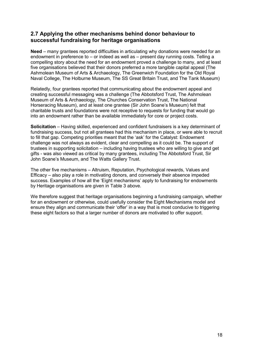## <span id="page-17-0"></span>**2.7 Applying the other mechanisms behind donor behaviour to successful fundraising for heritage organisations**

**Need** – many grantees reported difficulties in articulating why donations were needed for an endowment in preference to – or indeed as well as – present day running costs. Telling a compelling story about the need for an endowment proved a challenge to many, and at least five organisations believed that their donors preferred a more tangible capital appeal (The Ashmolean Museum of Arts & Archaeology, The Greenwich Foundation for the Old Royal Naval College, The Holburne Museum, The SS Great Britain Trust, and The Tank Museum)

Relatedly, four grantees reported that communicating about the endowment appeal and creating successful messaging was a challenge (The Abbotsford Trust, The Ashmolean Museum of Arts & Archaeology, The Churches Conservation Trust, The National Horseracing Museum), and at least one grantee (Sir John Soane's Museum) felt that charitable trusts and foundations were not receptive to requests for funding that would go into an endowment rather than be available immediately for core or project costs.

**Solicitation** – Having skilled, experienced and confident fundraisers is a key determinant of fundraising success, but not all grantees had this mechanism in place, or were able to recruit to fill that gap. Competing priorities meant that the 'ask' for the Catalyst: Endowment challenge was not always as evident, clear and compelling as it could be. The support of trustees in supporting solicitation – including having trustees who are willing to give and get gifts - was also viewed as critical by many grantees, including The Abbotsford Trust, Sir John Soane's Museum, and The Watts Gallery Trust.

The other five mechanisms – Altruism, Reputation, Psychological rewards, Values and Efficacy – also play a role in motivating donors, and conversely their absence impeded success. Examples of how all the 'Eight mechanisms' apply to fundraising for endowments by Heritage organisations are given in Table 3 above.

We therefore suggest that heritage organisations beginning a fundraising campaign, whether for an endowment or otherwise, could usefully consider the Eight Mechanisms model and ensure they align and communicate their 'offer' in a way that is most conducive to triggering these eight factors so that a larger number of donors are motivated to offer support.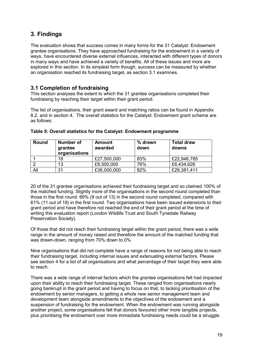# <span id="page-18-0"></span>**3. Findings**

The evaluation shows that success comes in many forms for the 31 Catalyst: Endowment grantee organisations. They have approached fundraising for the endowment in a variety of ways, have encountered diverse external influences, interacted with different types of donors in many ways and have achieved a variety of benefits. All of these issues and more are explored in this section. In its simplest form though, success can be measured by whether an organisation reached its fundraising target, as section 3.1 examines.

## <span id="page-18-1"></span>**3.1 Completion of fundraising**

This section analyses the extent to which the 31 grantee organisations completed their fundraising by reaching their target within their grant period.

The list of organisations, their grant award and matching ratios can be found in Appendix 8.2. and in section 4. The overall statistics for the Catalyst: Endowment grant scheme are as follows:

| <b>Round</b> | Number of<br>grantee<br>organisations | <b>Amount</b><br>awarded | % drawn<br>down | <b>Total draw</b><br>downs |
|--------------|---------------------------------------|--------------------------|-----------------|----------------------------|
|              | 18                                    | £27,500,000              | 83%             | £22,946,785                |
|              | 13                                    | £8,500,000               | 76%             | £6,434,626                 |
| All          | 31                                    | £36,000,000              | 82%             | £29,381,411                |

### **Table 5: Overall statistics for the Catalyst: Endowment programme**

20 of the 31 grantee organisations achieved their fundraising target and so claimed 100% of the matched funding. Slightly more of the organisations in the second round completed than those in the first round. 69% (9 out of 13) in the second round completed, compared with 61% (11 out of 18) in the first round. Two organisations have been issued extensions to their grant period and have therefore not reached the end of their grant period at the time of writing this evaluation report (London Wildlife Trust and South Tynedale Railway Preservation Society).

Of those that did not reach their fundraising target within the grant period, there was a wide range in the amount of money raised and therefore the amount of the matched funding that was drawn-down, ranging from 70% down to 0%

Nine organisations that did not complete have a range of reasons for not being able to reach their fundraising target, including internal issues and extenuating external factors. Please see section 4 for a list of all organisations and what percentage of their target they were able to reach.

There was a wide range of internal factors which the grantee organisations felt had impacted upon their ability to reach their fundraising target. These ranged from organisations nearly going bankrupt in the grant period and having to focus on that, to lacking prioritisation of the endowment by senior managers, to getting a whole new senior management team and development team alongside amendments to the objectives of the endowment and a suspension of fundraising for the endowment. When the endowment was running alongside another project, some organisations felt that donors favoured other more tangible projects, plus prioritising the endowment over more immediate fundraising needs could be a struggle.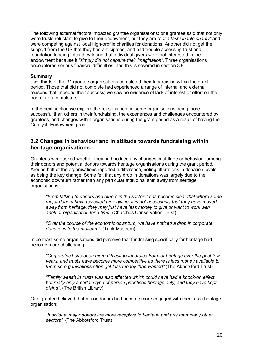The following external factors impacted grantee organisations: one grantee said that not only were trusts reluctant to give to their endowment, but they are *"not a fashionable charity"* and were competing against local high-profile charities for donations. Another did not get the support from the US that they had anticipated, and had trouble accessing trust and foundation funding, plus they found that individual givers were not interested in the endowment because it *"simply did not capture their imagination".* Three organisations encountered serious financial difficulties, and this is covered in section 3.8.

#### **Summary**

Two-thirds of the 31 grantee organisations completed their fundraising within the grant period. Those that did not complete had experienced a range of internal and external reasons that impeded their success; we saw no evidence of lack of interest or effort on the part of non-completers.

In the next section we explore the reasons behind some organisations being more successful than others in their fundraising, the experiences and challenges encountered by grantees, and changes within organisations during the grant period as a result of having the Catalyst: Endowment grant.

### <span id="page-19-0"></span>**3.2 Changes in behaviour and in attitude towards fundraising within heritage organisations.**

Grantees were asked whether they had noticed any changes in attitude or behaviour among their donors and potential donors towards heritage organisations during the grant period. Around half of the organisations reported a difference, noting alterations in donation levels as being the key change. Some felt that any drop in donations was largely due to the economic downturn rather than any particular attitudinal shift away from heritage organisations:

*"From talking to donors and others in the sector it has become clear that where some major donors have reviewed their giving, it is not necessarily that they have moved away from heritage, they may just have less money to give or want to work with another organisation for a time"* (Churches Conservation Trust)

*"Over the course of the economic downturn, we have noticed a drop in corporate donations to the museum".* (Tank Museum)

In contrast some organisations did perceive that fundraising specifically for heritage had become more challenging:

*"Corporates have been more difficult to fundraise from for heritage over the past few years, and trusts have become more competitive as there is less money available to them so organisations often get less money than wanted"* (The Abbotsford Trust)

*"Family wealth in trusts was also affected which could have had a knock-on effect, but really only a certain type of person prioritises heritage only, and they have kept giving"*. (The British Library)

One grantee believed that major donors had become more engaged with them as a heritage organisation:

"*Individual major donors are more receptive to heritage and arts than many other sectors".* (The Abbotsford Trust)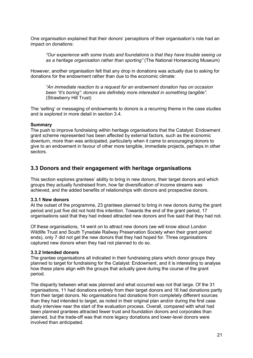One organisation explained that their donors' perceptions of their organisation's role had an impact on donations:

*"Our experience with some trusts and foundations is that they have trouble seeing us as a heritage organisation rather than sporting"* (The National Horseracing Museum)

However, another organisation felt that any drop in donations was actually due to asking for donations for the endowment rather than due to the economic climate:

*"An immediate reaction to a request for an endowment donation has on occasion been "it's boring": donors are definitely more interested in something tangible".*  (Strawberry Hill Trust)

The 'selling' or messaging of endowments to donors is a recurring theme in the case studies and is explored in more detail in section 3.4.

#### **Summary**

The push to improve fundraising within heritage organisations that the Catalyst: Endowment grant scheme represented has been affected by external factors, such as the economic downturn, more than was anticipated, particularly when it came to encouraging donors to give to an endowment in favour of other more tangible, immediate projects, perhaps in other sectors.

### <span id="page-20-0"></span>**3.3 Donors and their engagement with heritage organisations**

This section explores grantees' ability to bring in new donors, their target donors and which groups they actually fundraised from, how far diversification of income streams was achieved, and the added benefits of relationships with donors and prospective donors.

### <span id="page-20-1"></span>**3.3.1 New donors**

At the outset of the programme, 23 grantees planned to bring in new donors during the grant period and just five did not hold this intention. Towards the end of the grant period, 17 organisations said that they had indeed attracted new donors and five said that they had not.

Of these organisations, 14 went on to attract new donors (we will know about London Wildlife Trust and South Tynedale Railway Preservation Society when their grant period ends), only 7 did not get the new donors that they had hoped for. Three organisations captured new donors when they had not planned to do so.

#### <span id="page-20-2"></span>**3.3.2 Intended donors**

The grantee organisations all indicated in their fundraising plans which donor groups they planned to target for fundraising for the Catalyst: Endowment, and it is interesting to analyse how these plans align with the groups that actually gave during the course of the grant period.

The disparity between what was planned and what occurred was not that large. Of the 31 organisations, 11 had donations entirely from their target donors and 16 had donations partly from their target donors. No organisations had donations from completely different sources than they had intended to target, as noted in their original plan and/or during the first case study interview near the start of the evaluation process. Overall, compared with what had been planned grantees attracted fewer trust and foundation donors and corporates than planned, but the trade-off was that more legacy donations and lower-level donors were involved than anticipated.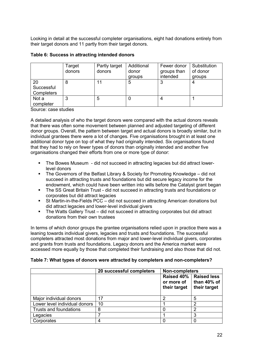Looking in detail at the successful completer organisations, eight had donations entirely from their target donors and 11 partly from their target donors.

|                                | Target<br>donors | Partly target<br>donors | Additional<br>donor<br>groups | Fewer donor<br>groups than<br>intended | Substitution<br>of donor<br>groups |
|--------------------------------|------------------|-------------------------|-------------------------------|----------------------------------------|------------------------------------|
| 20<br>Successful<br>Completers | 8                |                         | 5                             | ົ                                      | 4                                  |
| Not a<br>completer             | 3                | 5                       | 0                             |                                        |                                    |

### **Table 6: Success in attracting intended donors**

Source: case studies

A detailed analysis of who the target donors were compared with the actual donors reveals that there was often some movement between planned and adjusted targeting of different donor groups. Overall, the pattern between target and actual donors is broadly similar, but in individual grantees there were a lot of changes. Five organisations brought in at least one additional donor type on top of what they had originally intended. Six organisations found that they had to rely on fewer types of donors than originally intended and another five organisations changed their efforts from one or more type of donor:

- The Bowes Museum did not succeed in attracting legacies but did attract lowerlevel donors
- The Governors of the Belfast Library & Society for Promoting Knowledge did not succeed in attracting trusts and foundations but did secure legacy income for the endowment, which could have been written into wills before the Catalyst grant began
- **The SS Great Britain Trust did not succeed in attracting trusts and foundations or** corporates but did attract legacies
- St Martin-in-the-Fields PCC did not succeed in attracting American donations but did attract legacies and lower-level individual givers
- The Watts Gallery Trust did not succeed in attracting corporates but did attract donations from their own trustees

In terms of which donor groups the grantee organisations relied upon in practice there was a leaning towards individual givers, legacies and trusts and foundations. The successful completers attracted most donations from major and lower-level individual givers, corporates and grants from trusts and foundations. Legacy donors and the America market were accessed more equally by those that completed their fundraising and also those that did not.

### **Table 7: What types of donors were attracted by completers and non-completers?**

|                               | 20 successful completers | <b>Non-completers</b>                    |                                                   |
|-------------------------------|--------------------------|------------------------------------------|---------------------------------------------------|
|                               |                          | Raised 40%<br>or more of<br>their target | <b>Raised less</b><br>than 40% of<br>their target |
| Major individual donors       | 17                       |                                          | 5                                                 |
| Lower level individual donors | 10                       |                                          | ⌒                                                 |
| Trusts and foundations        | 8                        |                                          | n                                                 |
| Legacies                      |                          |                                          | 3                                                 |
| Corporates                    | 4                        |                                          |                                                   |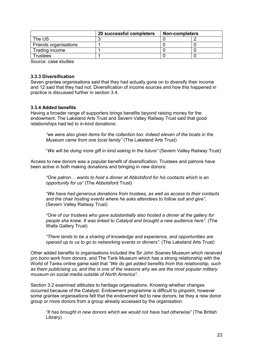|                                                  | 20 successful completers | <b>Non-completers</b> |  |  |  |
|--------------------------------------------------|--------------------------|-----------------------|--|--|--|
| The US                                           |                          |                       |  |  |  |
| Friends organisations                            |                          |                       |  |  |  |
| Trading income                                   |                          |                       |  |  |  |
| Trustees                                         |                          |                       |  |  |  |
| $\sim$ $\sim$ $\sim$ $\sim$ $\sim$ $\sim$ $\sim$ |                          |                       |  |  |  |

Source: case studies

#### <span id="page-22-0"></span>**3.3.3 Diversification**

Seven grantee organisations said that they had actually gone on to diversify their income and 12 said that they had not. Diversification of income sources and how this happened in practice is discussed further in section 3.4.

### <span id="page-22-1"></span>**3.3.4 Added benefits**

Having a broader range of supporters brings benefits beyond raising money for the endowment. The Lakeland Arts Trust and Severn Valley Railway Trust said that good relationships had led to in-kind donations:

*"we were also given items for the collection too: indeed eleven of the boats in the Museum came from one local family"* (The Lakeland Arts Trust)

"*We will be doing more gift in kind asking in the future"* (Severn Valley Railway Trust)

Access to new donors was a popular benefit of diversification. Trustees and patrons have been active in both making donations and bringing in new donors:

*"One patron… wants to host a dinner at Abbotsford for his contacts which is an opportunity for us"* (The Abbotsford Trust)

*"We have had generous donations from trustees, as well as access to their contacts and the chair hosting events where he asks attendees to follow suit and give",*  (Severn Valley Railway Trust)

*"One of our trustees who gave substantially also hosted a dinner at the gallery for people she knew. It was linked to Catalyst and brought a new audience here".* (The Watts Gallery Trust)

*"There tends to be a sharing of knowledge and experience, and opportunities are opened up to us to go to networking events or dinners".* (The Lakeland Arts Trust)

Other added benefits to organisations included the Sir John Soanes Museum which received *pro bono* work from donors, and The Tank Museum which has a strong relationship with the World of Tanks online game said that *"We do get added benefits from this relationship, such as them publicising us, and this is one of the reasons why we are the most popular military museum on social media outside of North America".* 

Section 3.2 examined attitudes to heritage organisations. Knowing whether changes occurred because of the Catalyst: Endowment programme is difficult to pinpoint, however some grantee organisations felt that the endowment led to new donors, be they a new donor group or more donors from a group already accessed by the organisation:

*"It has brought in new donors which we would not have had otherwise"* (The British Library)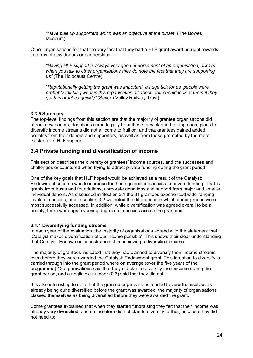*"Have built up supporters which was an objective at the outset"* (The Bowes Museum)

Other organisations felt that the very fact that they had a HLF grant award brought rewards in terms of new donors or partnerships:

*"Having HLF support is always very good endorsement of an organisation, always when you talk to other organisations they do note the fact that they are supporting us"* (The Holocaust Centre)

*"Reputationally getting the grant was important, a huge tick for us, people were probably thinking what is this organisation all about, you should look at them if they got this grant so quickly"* (Severn Valley Railway Trust)

### <span id="page-23-0"></span>**3.3.5 Summary**

The top-level findings from this section are that the majority of grantee organisations did attract new donors; donations came largely from those they planned to approach; plans to diversify income streams did not all come to fruition; and that grantees gained added benefits from their donors and supporters, as well as from those prompted by the mere existence of HLF support.

## <span id="page-23-1"></span>**3.4 Private funding and diversification of income**

This section describes the diversity of grantees' income sources, and the successes and challenges encountered when trying to attract private funding during the grant period.

One of the key goals that HLF hoped would be achieved as a result of the Catalyst: Endowment scheme was to increase the heritage sector's access to private funding - that is grants from trusts and foundations, corporate donations and support from major and smaller individual donors. As discussed in Section 3.1 the 31 grantees experienced wide-ranging levels of success, and in section 3.2 we noted the differences in which donor groups were most successfully accessed. In addition, while diversification was agreed overall to be a priority, there were again varying degrees of success across the grantees.

### <span id="page-23-2"></span>**3.4.1 Diversifying funding streams**

In each year of the evaluation, the majority of organisations agreed with the statement that 'Catalyst makes diversification of our income possible'. This shows their clear understanding that Catalyst: Endowment is instrumental in achieving a diversified income.

The majority of grantees indicated that they had planned to diversify their income streams even before they were awarded the Catalyst: Endowment grant. This intention to diversify is carried through into the grant period where on average (over the five years of the programme) 13 organisations said that they did plan to diversify their income during the grant period, and a negligible number (0.6) said that they did not.

It is also interesting to note that the grantee organisations tended to view themselves as already being quite diversified before the grant was awarded: the majority of organisations classed themselves as being diversified before they were awarded the grant.

Some grantees explained that when they started fundraising they felt that their income was already very diversified, and so therefore did not plan to diversify further, because they did not need to: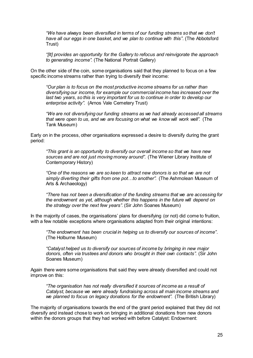*"We have always been diversified in terms of our funding streams so that we don't have all our eggs in one basket, and we plan to continue with this"*. (The Abbotsford Trust)

*"[It] provides an opportunity for the Gallery to refocus and reinvigorate the approach to generating income".* (The National Portrait Gallery)

On the other side of the coin, some organisations said that they planned to focus on a few specific income streams rather than trying to diversify their income:

*"Our plan is to focus on the most productive income streams for us rather than diversifying our income, for example our commercial income has increased over the*  last two years, so this is very important for us to continue in order to develop our *enterprise activity".* (Arnos Vale Cemetery Trust)

*"We are not diversifying our funding streams as we had already accessed all streams that were open to us, and we are focusing on what we know will work well".* (The Tank Museum)

Early on in the process, other organisations expressed a desire to diversify during the grant period:

*"This grant is an opportunity to diversify our overall income so that we have new sources and are not just moving money around"*. (The Wiener Library Institute of Contemporary History)

*"One of the reasons we are so keen to attract new donors is so that we are not simply diverting their gifts from one pot…to another".* (The Ashmolean Museum of Arts & Archaeology)

*"There has not been a diversification of the funding streams that we are accessing for the endowment as yet, although whether this happens in the future will depend on the strategy over the next few years".* (Sir John Soanes Museum)

In the majority of cases, the organisations' plans for diversifying (or not) did come to fruition, with a few notable exceptions where organisations adapted from their original intentions:

*"The endowment has been crucial in helping us to diversify our sources of income"*. (The Holburne Museum)

*"Catalyst helped us to diversify our sources of income by bringing in new major donors, often via trustees and donors who brought in their own contacts".* (Sir John Soanes Museum)

Again there were some organisations that said they were already diversified and could not improve on this:

*"The organisation has not really diversified it sources of income as a result of Catalyst, because we were already fundraising across all main income streams and we planned to focus on legacy donations for the endowment".* (The British Library)

The majority of organisations towards the end of the grant period explained that they did not diversify and instead chose to work on bringing in additional donations from new donors within the donors groups that they had worked with before Catalyst: Endowment: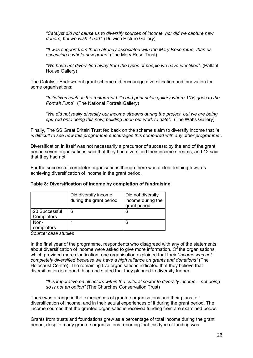*"Catalyst did not cause us to diversify sources of income, nor did we capture new donors, but we wish it had".* (Dulwich Picture Gallery)

*"It was support from those already associated with the Mary Rose rather than us accessing a whole new group"* (The Mary Rose Trust)

*"We have not diversified away from the types of people we have identified*". (Pallant House Gallery)

The Catalyst: Endowment grant scheme did encourage diversification and innovation for some organisations:

*"Initiatives such as the restaurant bills and print sales gallery where 10% goes to the Portrait Fund*". (The National Portrait Gallery)

*"We did not really diversify our income streams during the project, but we are being spurred onto doing this now, building upon our work to date".* (The Watts Gallery)

Finally, The SS Great Britain Trust fed back on the scheme's aim to diversify income that *"it is difficult to see how this programme encourages this compared with any other programme".*

Diversification in itself was not necessarily a precursor of success: by the end of the grant period seven organisations said that they had diversified their income streams, and 12 said that they had not.

For the successful completer organisations though there was a clear leaning towards achieving diversification of income in the grant period.

#### **Table 8: Diversification of income by completion of fundraising**

|                             | Did diversify income<br>during the grant period | Did not diversify<br>income during the<br>grant period |
|-----------------------------|-------------------------------------------------|--------------------------------------------------------|
| 20 Successful<br>Completers | 6                                               | 6                                                      |
| Non-<br>completers          |                                                 | 6                                                      |

*Source: case studies* 

In the final year of the programme, respondents who disagreed with any of the statements about diversification of income were asked to give more information. Of the organisations which provided more clarification, one organisation explained that their *"income was not completely diversified because we have a high reliance on grants and donations"* (The Holocaust Centre). The remaining five organisations indicated that they believe that diversification is a good thing and stated that they planned to diversify further.

*"It is imperative on all actors within the cultural sector to diversify income – not doing so is not an option"* (The Churches Conservation Trust)

There was a range in the experiences of grantee organisations and their plans for diversification of income, and in their actual experiences of it during the grant period. The income sources that the grantee organisations received funding from are examined below.

Grants from trusts and foundations grew as a percentage of total income during the grant period, despite many grantee organisations reporting that this type of funding was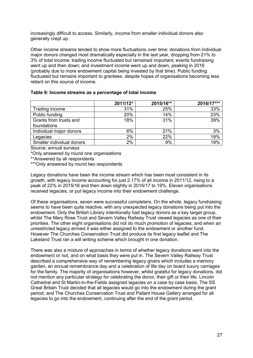increasingly difficult to access. Similarly, income from smaller individual donors also generally crept up.

Other income streams tended to show more fluctuations over time: donations from individual major donors changed most dramatically especially in the last year, dropping from 21% to 3% of total income; trading income fluctuated but remained important; events fundraising went up and then down; and investment income went up and down, peaking in 2016 (probably due to more endowment capital being invested by that time). Public funding fluctuated but remains important to grantees, despite hopes of organisations becoming less reliant on this source of income.

|                           | 2011/12* | 2015/16** | 2016/17*** |
|---------------------------|----------|-----------|------------|
| Trading income            | 31%      | 25%       | 33%        |
| Public funding            | 20%      | 14%       | 23%        |
| Grants from trusts and    | 18%      | 31%       | 39%        |
| foundations               |          |           |            |
| Individual major donors   | 6%       | 21%       | 3%         |
| Legacies                  | 2%       | 22%       | 19%        |
| Smaller individual donors | 2%       | 9%        | 19%        |

Source: annual surveys

\*Only answered by round one organisations

\*\*Answered by all respondents

\*\*\*Only answered by round two respondents

Legacy donations have been the income stream which has been most consistent in its growth, with legacy income accounting for just 2.17% of all income in 2011/12, rising to a peak of 22% in 2015/16 and then down slightly in 2016/17 to 19%. Eleven organisations received legacies, or put legacy income into their endowment challenge.

Of these organisations, seven were successful completers. On the whole, legacy fundraising seems to have been quite reactive, with any unexpected legacy donations being put into the endowment. Only the British Library intentionally had legacy donors as a key target group, whilst The Mary Rose Trust and Severn Valley Railway Trust viewed legacies as one of their priorities. The other eight organisations did not do much promotion of legacies, and when an unrestricted legacy arrived it was either assigned to the endowment or another fund. However The Churches Conservation Trust did produce its first legacy leaflet and The Lakeland Trust ran a will writing scheme which brought in one donation.

There was also a mixture of approaches in terms of whether legacy donations went into the endowment or not, and on what basis they were put in. The Severn Valley Railway Trust described a comprehensive way of remembering legacy givers which includes a memory garden, an annual remembrance day and a celebration of life day on board luxury carriages for the family. The majority of organisations however, whilst grateful for legacy donations, did not mention any particular strategy for celebrating the donor, their gift or their life. Lincoln Cathedral and St Martin-in-the-Fields assigned legacies on a case by case basis; The SS Great Britain Trust decided that all legacies would go into the endowment during the grant period; and The Churches Conservation Trust and Pallant House Gallery arranged for all legacies to go into the endowment, continuing after the end of the grant period.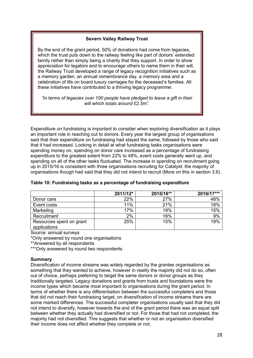### **Severn Valley Railway Trust**

By the end of the grant period, 50% of donations had come from legacies, which the trust puts down to the railway feeling like part of donors' extended family rather than simply being a charity that they support. In order to show appreciation for legators and to encourage others to name them in their will, the Railway Trust developed a range of legacy recognition initiatives such as a memory garden, an annual remembrance day, a memory area and a celebration of life on board luxury carriages for the deceased's families. All these initiatives have contributed to a thriving legacy programme:

*"In terms of legacies over 100 people have pledged to leave a gift in their will which totals around £2.5m".*

Expenditure on fundraising is important to consider when exploring diversification as it plays an important role in reaching out to donors. Every year the largest group of organisations said that their expenditure on fundraising had stayed the same, followed by those who said that it had increased. Looking in detail at what fundraising tasks organisations were spending money on, spending on donor care increased as a percentage of fundraising expenditure to the greatest extent from 22% to 48%, event costs generally went up, and spending on all of the other tasks fluctuated. The increase in spending on recruitment going up in 2015/16 is consistent with three organisations recruiting for Catalyst: the majority of organisations though had said that they did not intend to recruit (More on this in section 3.6).

|                                          | 2011/12* | 2015/16** | 2016/17*** |
|------------------------------------------|----------|-----------|------------|
| Donor care                               | 22%      | 27%       | 48%        |
| Event costs                              | 11%      | 21%       | 18%        |
| Marketing                                | 17%      | 19%       | 15%        |
| Recruitment                              | 2%       | 16%       | 9%         |
| Resources spent on grant<br>applications | 25%      | 15%       | 19%        |

#### **Table 10: Fundraising tasks as a percentage of fundraising expenditure**

Source: annual surveys

\*Only answered by round one organisations

\*\*Answered by all respondents

\*\*\*Only answered by round two respondents

#### **Summary**

Diversification of income streams was widely regarded by the grantee organisations as something that they wanted to achieve, however in reality the majority did not do so, often out of choice, perhaps preferring to target the same donors or donor groups as they traditionally targeted. Legacy donations and grants from trusts and foundations were the income types which became most important to organisations during the grant period. In terms of whether there is any differentiation between the successful completers and those that did not reach their fundraising target, on diversification of income streams there are some marked differences. The successful completer organisations usually said that they did not intend to diversify, however towards the end of the grant period there was an equal split between whether they actually had diversified or not. For those that had not completed, the majority had not diversified. This suggests that whether or not an organisation diversified their income does not affect whether they complete or not.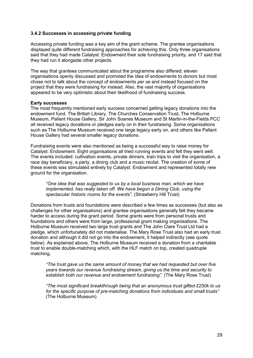### <span id="page-28-0"></span>**3.4.2 Successes in accessing private funding**

Accessing private funding was a key aim of the grant scheme. The grantee organisations displayed quite different fundraising approaches for achieving this. Only three organisations said that they had made Catalyst: Endowment their sole fundraising priority, and 17 said that they had run it alongside other projects.

The way that grantees communicated about the programme also differed: eleven organisations openly discussed and promoted the idea of endowments to donors but most chose not to talk about the concept of endowments *per se* and instead focused on the project that they were fundraising for instead. Also, the vast majority of organisations appeared to be very optimistic about their likelihood of fundraising success.

#### **Early successes**

The most frequently mentioned early success concerned getting legacy donations into the endowment fund. The British Library, The Churches Conservation Trust, The Holburne Museum, Pallant House Gallery, Sir John Soanes Museum and St Martin-in-the-Fields PCC all received legacy donations or pledges early on in their fundraising. Some organisations such as The Holburne Museum received one large legacy early on, and others like Pallant House Gallery had several smaller legacy donations.

Fundraising events were also mentioned as being a successful way to raise money for Catalyst: Endowment. Eight organisations all tried running events and felt they went well. The events included: cultivation events, private dinners, train trips to visit the organisation, a race day beneficiary, a party, a dining club and a music recital. The creation of some of these events was stimulated entirely by Catalyst: Endowment and represented totally new ground for the organisation.

*"One idea that was suggested to us by a local business man, which we have implemented, has really taken off. We have begun a Dining Club, using the spectacular historic rooms for the events".* (Strawberry Hill Trust)

Donations from trusts and foundations were described a few times as successes (but also as challenges for other organisations) and grantee organisations generally felt they became harder to access during the grant period. Some grants were from personal trusts and foundations and others were from large, professional grant making organisations. The Holburne Museum received two large trust grants and The John Clare Trust Ltd had a pledge, which unfortunately did not materialise. The Mary Rose Trust also had an early trust donation and although it did not go into the endowment, it helped indirectly (see quote below). As explained above, The Holburne Museum received a donation from a charitable trust to enable double-matching which, with the HLF match on top, created quadruple matching.

*"The trust gave us the same amount of money that we had requested but over five years towards our revenue fundraising stream, giving us the time and security to establish both our revenue and endowment fundraising".* (The Mary Rose Trust)

*"The most significant breakthrough being that an anonymous trust gifted £250k to us for the specific purpose of pre-matching donations from individuals and small trusts"* (The Holburne Museum)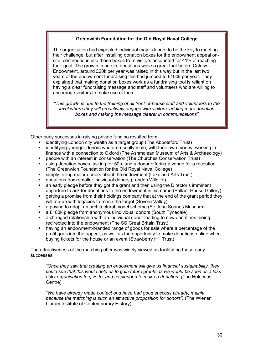### **Greenwich Foundation for the Old Royal Naval College**

The organisation had expected individual major donors to be the key to meeting their challenge, but after installing donation boxes for the endowment appeal onsite, contributions into these boxes from visitors accounted for 41% of reaching their goal. The growth in on-site donations was so great that before Catalyst: Endowment, around £20k per year was raised in this way but in the last two years of the endowment fundraising this had jumped to £100k per year. They explained that making donation boxes work as a fundraising tool is reliant on having a clear fundraising message and staff and volunteers who are willing to encourage visitors to make use of them:

*"This growth is due to the training of all front-of-house staff and volunteers to the level where they will proactively engage with visitors, adding more donation boxes and making the message clearer in communications"*

Other early successes in raising private funding resulted from:

- identifying London city wealth as a target group (The Abbotsford Trust)
- identifying younger donors who are usually male, with their own money, working in finance with a connection to Oxford (The Ashmolean Museum of Arts & Archaeology)
- people with an interest in conservation (The Churches Conservation Trust)
- using donation boxes, asking for 50p, and a donor offering a venue for a reception (The Greenwich Foundation for the Old Royal Naval College)
- simply telling major donors about the endowment (Lakeland Arts Trust)
- donations from smaller individual donors (London Wildlife)
- **EXT** an early pledge before they got the grant and then using the Director's imminent departure to ask for donations to the endowment in his name (Pallant House Gallery)
- **Example 1** getting a promise from their holdings company that at the end of the grant period they will top-up with legacies to reach the target (Severn Valley)
- a paying to adopt an architectural model scheme (Sir John Soanes Museum)
- a £100k pledge from anonymous individual donors (South Tynedale)
- a changed relationship with an individual donor leading to new donations being redirected into the endowment (The SS Great Britain Trust)
- having an endowment-branded range of goods for sale where a percentage of the profit goes into the appeal, as well as the opportunity to make donations online when buying tickets for the house or an event (Strawberry Hill Trust)

The attractiveness of the matching offer was widely viewed as facilitating these early successes:

*"Once they saw that creating an endowment will give us financial sustainability, they could see that this would help us to gain future grants as we would be seen as a less risky organisation to give to, and so pledged to make a donation" (*The Holocaust Centre)

*"We have already made contact and have had good success already, mainly because the matching is such an attractive proposition for donors".* (The Wiener Library Institute of Contemporary History)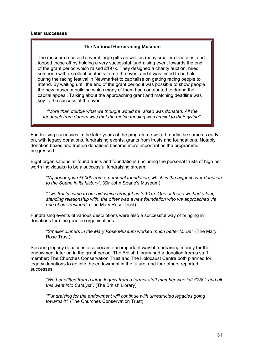#### **Later successes**

#### **The National Horseracing Museum**

The museum received several large gifts as well as many smaller donations, and topped these off by holding a very successful fundraising event towards the end of the grant period which raised £197k. They designed a charity auction, hired someone with excellent contacts to run the event and it was timed to be held during the racing festival in Newmarket to capitalise on getting racing people to attend. By waiting until the end of the grant period it was possible to show people the new museum building which many of them had contributed to during the capital appeal. Talking about the approaching grant and matching deadline was key to the success of the event:

*"More than double what we thought would be raised was donated. All the feedback from donors was that the match funding was crucial to their giving".*

Fundraising successes in the later years of the programme were broadly the same as early on, with legacy donations, fundraising events, grants from trusts and foundations. Notably, donation boxes and trustee donations became more important as the programme progressed.

Eight organisations all found trusts and foundations (including the personal trusts of high net worth individuals) to be a successful fundraising stream:

*"[A] donor gave £500k from a personal foundation, which is the biggest ever donation to the Soane in its history".* (Sir John Soane's Museum)

*"Two trusts came to our aid which brought us to £1m. One of these we had a longstanding relationship with, the other was a new foundation who we approached via one of our trustees".* (The Mary Rose Trust)

Fundraising events of various descriptions were also a successful way of bringing in donations for nine grantee organisations:

*"Smaller dinners in the Mary Rose Museum worked much better for us".* (The Mary Rose Trust)

Securing legacy donations also became an important way of fundraising money for the endowment later on in the grant period. The British Library had a donation from a staff member; The Churches Conservation Trust and The Holocaust Centre both planned for legacy donations to go into the endowment in the future; and four others reported successes:

*"We benefitted from a large legacy from a former staff member who left £750k and all this went into Catalyst".* (The British Library)

*"Fundraising for the endowment will continue with unrestricted legacies going towards it".* (The Churches Conservation Trust)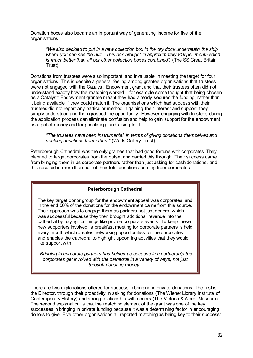Donation boxes also became an important way of generating income for five of the organisations:

*"We also decided to put in a new collection box in the dry dock underneath the ship where you can see the hull…This box brought in approximately £1k per month which is much better than all our other collection boxes combined".* (The SS Great Britain Trust)

Donations from trustees were also important, and invaluable in meeting the target for four organisations. This is despite a general feeling among grantee organisations that trustees were not engaged with the Catalyst: Endowment grant and that their trustees often did not understand exactly how the matching worked – for example some thought that being chosen as a Catalyst: Endowment grantee meant they had already secured the funding, rather than it being available if they could match it. The organisations which had success with their trustees did not report any particular method in gaining their interest and support, they simply understood and then grasped the opportunity: However engaging with trustees during the application process can eliminate confusion and help to gain support for the endowment as a pot of money and for prioritising fundraising for it:

*"The trustees have been instrumental, in terms of giving donations themselves and seeking donations from others"* (Watts Gallery Trust)

Peterborough Cathedral was the only grantee that had good fortune with corporates. They planned to target corporates from the outset and carried this through. Their success came from bringing them in as corporate partners rather than just asking for cash donations, and this resulted in more than half of their total donations coming from corporates.

### **Peterborough Cathedral**

The key target donor group for the endowment appeal was corporates, and in the end 50% of the donations for the endowment came from this source. Their approach was to engage them as partners not just donors, which was successful because they then brought additional revenue into the cathedral by paying for things like private corporate events. To keep these new supporters involved, a breakfast meeting for corporate partners is held every month which creates networking opportunities for the corporates, and enables the cathedral to highlight upcoming activities that they would like support with:

*"Bringing in corporate partners has helped us because in a partnership the corporates get involved with the cathedral in a variety of ways, not just through donating money".*

There are two explanations offered for success in bringing in private donations. The first is the Director, through their proactivity in asking for donations (The Wiener Library Institute of Contemporary History) and strong relationship with donors (The Victoria & Albert Museum). The second explanation is that the matching element of the grant was one of the key successes in bringing in private funding because it was a determining factor in encouraging donors to give. Five other organisations all reported matching as being key to their success: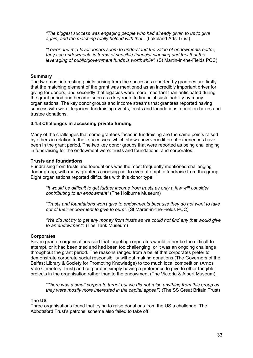*"The biggest success was engaging people who had already given to us to give again, and the matching really helped with that".* (Lakeland Arts Trust)

*"Lower and mid-level donors seem to understand the value of endowments better; they see endowments in terms of sensible financial planning and feel that the leveraging of public/government funds is worthwhile".* (St Martin-in-the-Fields PCC)

#### **Summary**

The two most interesting points arising from the successes reported by grantees are firstly that the matching element of the grant was mentioned as an incredibly important driver for giving for donors, and secondly that legacies were more important than anticipated during the grant period and became seen as a key route to financial sustainability by many organisations. The key donor groups and income streams that grantees reported having success with were: legacies, fundraising events, trusts and foundations, donation boxes and trustee donations.

#### <span id="page-32-0"></span>**3.4.3 Challenges in accessing private funding**

Many of the challenges that some grantees faced in fundraising are the same points raised by others in relation to their successes, which shows how very different experiences have been in the grant period. The two key donor groups that were reported as being challenging in fundraising for the endowment were: trusts and foundations, and corporates.

#### **Trusts and foundations**

Fundraising from trusts and foundations was the most frequently mentioned challenging donor group, with many grantees choosing not to even attempt to fundraise from this group. Eight organisations reported difficulties with this donor type:

*"It would be difficult to get further income from trusts as only a few will consider contributing to an endowment"* (The Holburne Museum)

*"Trusts and foundations won't give to endowments because they do not want to take out of their endowment to give to ours".* (St Martin-in-the-Fields PCC)

*"We did not try to get any money from trusts as we could not find any that would give to an endowment".* (The Tank Museum)

#### **Corporates**

Seven grantee organisations said that targeting corporates would either be too difficult to attempt, or it had been tried and had been too challenging, or it was an ongoing challenge throughout the grant period. The reasons ranged from a belief that corporates prefer to demonstrate corporate social responsibility without making donations (The Governors of the Belfast Library & Society for Promoting Knowledge) to too much local competition (Arnos Vale Cemetery Trust) and corporates simply having a preference to give to other tangible projects in the organisation rather than to the endowment (The Victoria & Albert Museum).

*"There was a small corporate target but we did not raise anything from this group as they were mostly more interested in the capital appeal".* (The SS Great Britain Trust)

#### **The US**

Three organisations found that trying to raise donations from the US a challenge. The Abbotsford Trust's patrons' scheme also failed to take off: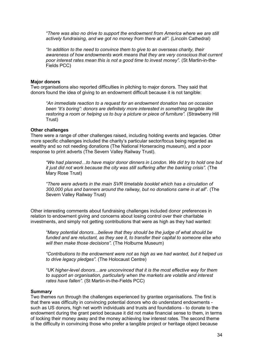*"There was also no drive to support the endowment from America where we are still actively fundraising, and we got no money from there at all".* (Lincoln Cathedral)

*"In addition to the need to convince them to give to an overseas charity, their awareness of how endowments work means that they are very conscious that current poor interest rates mean this is not a good time to invest money".* (St Martin-in-the-Fields PCC)

### **Major donors**

Two organisations also reported difficulties in pitching to major donors. They said that donors found the idea of giving to an endowment difficult because it is not tangible:

*"An immediate reaction to a request for an endowment donation has on occasion been "it's boring": donors are definitely more interested in something tangible like restoring a room or helping us to buy a picture or piece of furniture".* (Strawberry Hill Trust)

#### **Other challenges**

There were a range of other challenges raised, including holding events and legacies. Other more specific challenges included the charity's particular sector/focus being regarded as wealthy and so not needing donations (The National Horseracing museum), and a poor response to print adverts (The Severn Valley Railway Trust).

*"We had planned…to have major donor dinners in London. We did try to hold one but it just did not work because the city was still suffering after the banking crisis".* (The Mary Rose Trust)

*"There were adverts in the main SVR timetable booklet which has a circulation of 300,000 plus and banners around the railway, but no donations came in at all*". (The Severn Valley Railway Trust)

Other interesting comments about fundraising challenges included donor preferences in relation to endowment giving and concerns about losing control over their charitable investments, and simply not getting contributions that were as high as they had wanted:

*"Many potential donors…believe that they should be the judge of what should be funded and are reluctant, as they see it, to transfer their capital to someone else who will then make those decisions".* (The Holburne Museum)

*"Contributions to the endowment were not as high as we had wanted, but it helped us to drive legacy pledges".* (The Holocaust Centre)

*"UK higher-level donors…are unconvinced that it is the most effective way for them to support an organisation, particularly when the markets are volatile and interest rates have fallen".* (St Martin-in-the-Fields PCC)

#### **Summary**

Two themes run through the challenges experienced by grantee organisations. The first is that there was difficulty in convincing potential donors who do understand endowments such as US donors, high net worth individuals and trusts and foundations - to donate to the endowment during the grant period because it did not make financial sense to them, in terms of locking their money away and the money achieving low interest rates. The second theme is the difficulty in convincing those who prefer a tangible project or heritage object because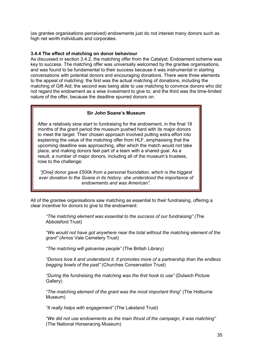(as grantee organisations perceived) endowments just do not interest many donors such as high net worth individuals and corporates.

### <span id="page-34-0"></span>**3.4.4 The effect of matching on donor behaviour**

As discussed in section 3.4.2, the matching offer from the Catalyst: Endowment scheme was key to success. The matching offer was universally welcomed by the grantee organisations, and was found to be fundamental to their success because it was instrumental in starting conversations with potential donors and encouraging donations. There were three elements to the appeal of matching: the first was the actual matching of donations, including the matching of Gift Aid; the second was being able to use matching to convince donors who did not regard the endowment as a wise investment to give to; and the third was the time-limited nature of the offer, because the deadline spurred donors on.

### **Sir John Soane's Museum**

After a relatively slow start to fundraising for the endowment, in the final 18 months of the grant period the museum pushed hard with its major donors to meet the target. Their chosen approach involved putting extra effort into explaining the value of the matching offer from HLF, emphasising that the upcoming deadline was approaching, after which the match would not take place, and making donors feel part of a team with a shared goal. As a result, a number of major donors, including all of the museum's trustees, rose to the challenge:

*"[One] donor gave £500k from a personal foundation, which is the biggest ever donation to the Soane in its history: she understood the importance of endowments and was American".*

All of the grantee organisations saw matching as essential to their fundraising, offering a clear incentive for donors to give to the endowment:

*"The matching element was essential to the success of our fundraising"* (The Abbotsford Trust)

*"We would not have got anywhere near the total without the matching element of the grant"* (Arnos Vale Cemetery Trust)

*"The matching will galvanise people"* (The British Library)

*"Donors love it and understand it. It promotes more of a partnership than the endless begging bowls of the past"* (Churches Conservation Trust)

*"During the fundraising the matching was the first hook to use"* (Dulwich Picture Gallery)

*"The matching element of the grant was the most important thing*" (The Holburne Museum)

*"It really helps with engagement"* (The Lakeland Trust)

*"We did not use endowments as the main thrust of the campaign, it was matching"* (The National Horseracing Museum)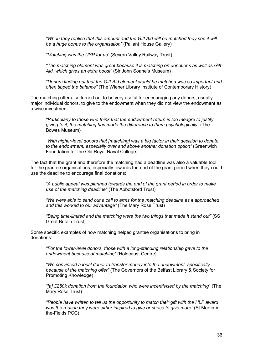*"When they realise that this amount and the Gift Aid will be matched they see it will be a huge bonus to the organisation"* (Pallant House Gallery)

*"Matching was the USP for us*" (Severn Valley Railway Trust)

*"The matching element was great because it is matching on donations as well as Gift Aid, which gives an extra boost"* (Sir John Soane's Museum)

*"Donors finding out that the Gift Aid element would be matched was so important and often tipped the balance"* (The Wiener Library Institute of Contemporary History)

The matching offer also turned out to be very useful for encouraging any donors, usually major individual donors, to give to the endowment when they did not view the endowment as a wise investment:

*"Particularly to those who think that the endowment return is too meagre to justify giving to it, the matching has made the difference to them psychologically"* (The Bowes Museum)

"*With higher-level donors that [matching] was a big factor in their decision to donate to the endowment, especially over and above another donation option"* (Greenwich Foundation for the Old Royal Naval College)

The fact that the grant and therefore the matching had a deadline was also a valuable tool for the grantee organisations, especially towards the end of the grant period when they could use the deadline to encourage final donations:

*"A public appeal was planned towards the end of the grant period in order to make use of the matching deadline"* (The Abbotsford Trust)

*"We were able to send out a call to arms for the matching deadline as it approached and this worked to our advantage"* (The Mary Rose Trust)

*"Being time-limited and the matching were the two things that made it stand out"* (SS Great Britain Trust)

Some specific examples of how matching helped grantee organisations to bring in donations:

*"For the lower-level donors, those with a long-standing relationship gave to the endowment because of matching"* (Holocaust Centre)

*"We convinced a local donor to transfer money into the endowment, specifically because of the matching offer"* (The Governors of the Belfast Library & Society for Promoting Knowledge)

*"[a] £250k donation from the foundation who were incentivised by the matching*" (The Mary Rose Trust)

*"People have written to tell us the opportunity to match their gift with the HLF award was the reason they were either inspired to give or chose to give more"* (St Martin-inthe-Fields PCC)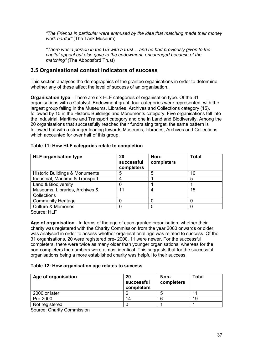*"The Friends in particular were enthused by the idea that matching made their money work harder"* (The Tank Museum)

*"There was a person in the US with a trust… and he had previously given to the capital appeal but also gave to the endowment, encouraged because of the matching"* (The Abbotsford Trust)

## <span id="page-36-0"></span>**3.5 Organisational context indicators of success**

This section analyses the demographics of the grantee organisations in order to determine whether any of these affect the level of success of an organisation.

**Organisation type** - There are six HLF categories of organisation type. Of the 31 organisations with a Catalyst: Endowment grant, four categories were represented, with the largest group falling in the Museums, Libraries, Archives and Collections category (15), followed by 10 in the Historic Buildings and Monuments category. Five organisations fell into the Industrial, Maritime and Transport category and one in Land and Biodiversity. Among the 20 organisations that successfully reached their fundraising target, the same pattern is followed but with a stronger leaning towards Museums, Libraries, Archives and Collections which accounted for over half of this group.

| 20<br>successful<br>completers | Non-<br>completers | <b>Total</b> |
|--------------------------------|--------------------|--------------|
| 5                              | 5                  | 10           |
|                                |                    | 5            |
|                                |                    |              |
| 11                             | 4                  | 15           |
|                                |                    |              |
|                                |                    |              |
|                                |                    |              |
|                                |                    |              |

#### **Table 11: How HLF categories relate to completion**

Source: HLF

**Age of organisation** - In terms of the age of each grantee organisation, whether their charity was registered with the Charity Commission from the year 2000 onwards or older was analysed in order to assess whether organisational age was related to success. Of the 31 organisations, 20 were registered pre- 2000, 11 were newer. For the successful completers, there were twice as many older than younger organisations, whereas for the non-completers the numbers were almost identical. This suggests that for the successful organisations being a more established charity was helpful to their success.

### **Table 12: How organisation age relates to success**

| Age of organisation | 20<br>successful<br>completers | Non-<br>completers | <b>Total</b> |
|---------------------|--------------------------------|--------------------|--------------|
| 2000 or later       |                                |                    |              |
| Pre-2000            | 14                             |                    | 19           |
| Not registered      |                                |                    |              |

Source: Charity Commission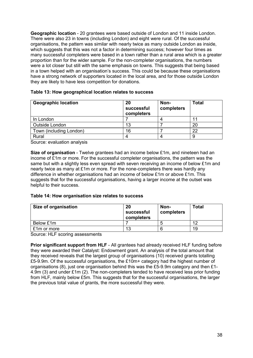**Geographic location** - 20 grantees were based outside of London and 11 inside London. There were also 23 in towns (including London) and eight were rural. Of the successful organisations, the pattern was similar with nearly twice as many outside London as inside, which suggests that this was not a factor in determining success; however four times as many successful completers were based in a town rather than a rural area which is a greater proportion than for the wider sample. For the non-completer organisations, the numbers were a lot closer but still with the same emphasis on towns. This suggests that being based in a town helped with an organisation's success. This could be because these organisations have a strong network of supporters located in the local area, and for those outside London they are likely to have less competition for donations.

| <b>Geographic location</b> | 20<br>successful<br>completers | Non-<br>completers | <b>Total</b> |
|----------------------------|--------------------------------|--------------------|--------------|
| In London                  |                                |                    |              |
| Outside London             | 13                             |                    | 20           |
| Town (including London)    | 16                             |                    | 22           |
| Rural                      |                                |                    |              |

|  |  | Table 13: How geographical location relates to success |  |  |  |
|--|--|--------------------------------------------------------|--|--|--|
|--|--|--------------------------------------------------------|--|--|--|

Source: evaluation analysis

**Size of organisation** - Twelve grantees had an income below £1m, and nineteen had an income of £1m or more. For the successful completer organisations, the pattern was the same but with a slightly less even spread with seven receiving an income of below £1m and nearly twice as many at £1m or more. For the none-completers there was hardly any difference in whether organisations had an income of below £1m or above £1m. This suggests that for the successful organisations, having a larger income at the outset was helpful to their success.

#### **Table 14: How organisation size relates to success**

| <b>Size of organisation</b> | 20<br>successful<br>completers | Non-<br>completers | <b>Total</b> |
|-----------------------------|--------------------------------|--------------------|--------------|
| Below £1m                   |                                |                    | $\Lambda$    |
| £1m or more                 | 13                             |                    | 19           |

Source: HLF scoring assessments

**Prior significant support from HLF** - All grantees had already received HLF funding before they were awarded their Catalyst: Endowment grant. An analysis of the total amount that they received reveals that the largest group of organisations (10) received grants totalling £5-9.9m. Of the successful organisations, the £10m+ category had the highest number of organisations (8), just one organisation behind this was the £5-9.9m category and then £1- 4.9m (3) and under £1m (2). The non-completers tended to have received less prior funding from HLF, mainly below £5m. This suggests that for the successful organisations, the larger the previous total value of grants, the more successful they were.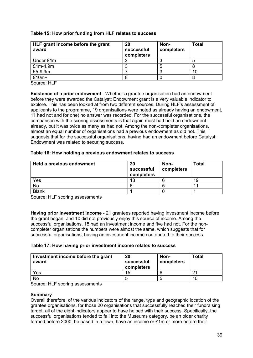### **Table 15: How prior funding from HLF relates to success**

| HLF grant income before the grant<br>award | 20<br>successful<br>completers | Non-<br>completers | <b>Total</b> |
|--------------------------------------------|--------------------------------|--------------------|--------------|
| Under £1m                                  |                                |                    |              |
| $£1m-4.9m$                                 |                                |                    |              |
| £5-9.9m                                    |                                |                    | 10           |
| £10m+                                      |                                |                    |              |

Source: HLF

**Existence of a prior endowment** - Whether a grantee organisation had an endowment before they were awarded the Catalyst: Endowment grant is a very valuable indicator to explore. This has been looked at from two different sources. During HLF's assessment of applicants to the programme, 19 organisations were noted as already having an endowment, 11 had not and for one) no answer was recorded. For the successful organisations, the comparison with the scoring assessments is that again most had held an endowment already, but it was twice as many as had not. Among the non-completer organisations, almost an equal number of organisations had a previous endowment as did not. This suggests that for the successful organisations, having had an endowment before Catalyst: Endowment was related to securing success.

### **Table 16: How holding a previous endowment relates to success**

| Held a previous endowment | 20<br>successful<br>completers | Non-<br>completers | Total |
|---------------------------|--------------------------------|--------------------|-------|
| Yes                       | 13                             |                    | 19    |
| No                        |                                |                    | ◢ ◢   |
| <b>Blank</b>              |                                |                    |       |

Source: HLF scoring assessments

**Having prior investment income** - 21 grantees reported having investment income before the grant began, and 10 did not previously enjoy this source of income. Among the successful organisations, 15 had an investment income and five had not. For the noncompleter organisations the numbers were almost the same, which suggests that for successful organisations, having an investment income contributed to their success.

### **Table 17: How having prior investment income relates to success**

| Investment income before the grant<br>award | 20<br>successful<br>completers | Non-<br>completers | <b>Total</b> |
|---------------------------------------------|--------------------------------|--------------------|--------------|
| Yes                                         | 15                             |                    |              |
| No                                          |                                |                    | 10           |

Source: HLF scoring assessments

### **Summary**

Overall therefore, of the various indicators of the range, type and geographic location of the grantee organisations, for those 20 organisations that successfully reached their fundraising target, all of the eight indicators appear to have helped with their success. Specifically, the successful organisations tended to fall into the Museums category, be an older charity formed before 2000, be based in a town, have an income or £1m or more before their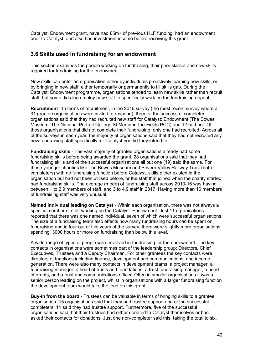Catalyst: Endowment grant, have had £5m+ of previous HLF funding, had an endowment prior to Catalyst, and also had investment income before receiving this grant.

## <span id="page-39-0"></span>**3.6 Skills used in fundraising for an endowment**

This section examines the people working on fundraising, their prior skillset and new skills required for fundraising for the endowment.

New skills can enter an organisation either by individuals proactively learning new skills, or by bringing in new staff, either temporarily or permanently to fill skills gap. During the Catalyst: Endowment programme, organisations tended to learn new skills rather than recruit staff, but some did also employ new staff to specifically work on the fundraising appeal.

**Recruitment** - In terms of recruitment, in the 2016 survey (the most recent survey where all 31 grantee organisations were invited to respond), three of the successful completer organisations said that they had recruited new staff for Catalyst: Endowment (The Bowes Museum, The National Portrait Gallery, St Martin-in-the-Fields PCC) and 12 had not. Of those organisations that did not complete their fundraising, only one had recruited. Across all of the surveys in each year, the majority of organisations said that they had not recruited any new fundraising staff specifically for Catalyst nor did they intend to.

**Fundraising skills** - The vast majority of grantee organisations already had some fundraising skills before being awarded the grant. 28 organisations said that they had fundraising skills and of the successful organisations all but one (19) said the same. For those younger charities like The Bowes Museum and Severn Valley Railway Trust (both completers) with no fundraising function before Catalyst, skills either existed in the organisation but had not been utilised before, or the staff that joined when the charity started had fundraising skills. The average (mode) of fundraising staff across 2013-16 was having between 1 to 2.9 members of staff, and 3 to 4.9 staff in 2017. Having more than 10 members of fundraising staff was very unusual.

**Named individual leading on Catalyst** - Within each organisation, there was not always a specific member of staff working on the Catalyst: Endowment. Just 11 organisations reported that there was one named individual, seven of which were successful organisations The size of a fundraising team also affects how many fundraising hours can be spent on fundraising and in four out of five years of the survey, there were slightly more organisations spending 3000 hours or more on fundraising than below this level.

A wide range of types of people were involved in fundraising for the endowment. The key contacts in organisations were sometimes part of the leadership group: Directors, Chief Executives, Trustees and a Deputy Chairman. For other grantees the key contacts were directors of functions including finance, development and communications, and income generation. There were also many contacts in development teams, a project manager, a fundraising manager, a head of trusts and foundations, a trust fundraising manager, a head of grants, and a trust and communications officer. Often in smaller organisations it was a senior person leading on the project, whilst in organisations with a larger fundraising function the development team would take the lead on this grant.

**Buy-in from the board** - Trustees can be valuable in terms of bringing skills to a grantee organisation. 15 organisations said that they had trustee support and of the successful completers, 11 said they had trustee support. Furthermore, five of the successful organisations said that their trustees had either donated to Catalyst themselves or had asked their contacts for donations. Just one non-completer said this, taking the total to six.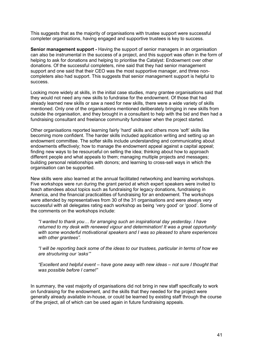This suggests that as the majority of organisations with trustee support were successful completer organisations, having engaged and supportive trustees is key to success.

**Senior management support -** Having the support of senior managers in an organisation can also be instrumental in the success of a project, and this support was often in the form of helping to ask for donations and helping to prioritise the Catalyst: Endowment over other donations. Of the successful completers, nine said that they had senior management support and one said that their CEO was the most supportive manager, and three noncompleters also had support. This suggests that senior management support is helpful to success.

Looking more widely at skills, in the initial case studies, many grantee organisations said that they would not need any new skills to fundraise for the endowment. Of those that had already learned new skills or saw a need for new skills, there were a wide variety of skills mentioned. Only one of the organisations mentioned deliberately bringing in new skills from outside the organisation, and they brought in a consultant to help with the bid and then had a fundraising consultant and freelance community fundraiser when the project started.

Other organisations reported learning fairly 'hard' skills and others more 'soft' skills like becoming more confident. The harder skills included application writing and setting up an endowment committee. The softer skills include understanding and communicating about endowments effectively; how to manage the endowment appeal against a capital appeal; finding new ways to be resourceful on selling the idea; thinking about how to approach different people and what appeals to them; managing multiple projects and messages; building personal relationships with donors; and learning to cross-sell ways in which the organisation can be supported.

New skills were also learned at the annual facilitated networking and learning workshops. Five workshops were run during the grant period at which expert speakers were invited to teach attendees about topics such as fundraising for legacy donations, fundraising in America, and the financial practicalities of fundraising for an endowment. The workshops were attended by representatives from 30 of the 31 organisations and were always very successful with all delegates rating each workshop as being 'very good' or 'good'. Some of the comments on the workshops include:

*"I wanted to thank you… for arranging such an inspirational day yesterday. I have returned to my desk with renewed vigour and determination! It was a great opportunity with some wonderful motivational speakers and I was so pleased to share experiences with other grantees".*

*"I will be reporting back some of the ideas to our trustees, particular in terms of how we are structuring our 'asks'"* 

*"Excellent and helpful event – have gone away with new ideas – not sure I thought that was possible before I came!"*

In summary, the vast majority of organisations did not bring in new staff specifically to work on fundraising for the endowment, and the skills that they needed for the project were generally already available in-house, or could be learned by existing staff through the course of the project, all of which can be used again in future fundraising appeals.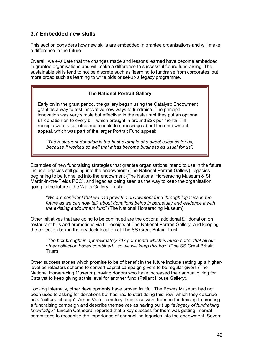# <span id="page-41-0"></span>**3.7 Embedded new skills**

This section considers how new skills are embedded in grantee organisations and will make a difference in the future.

Overall, we evaluate that the changes made and lessons learned have become embedded in grantee organisations and will make a difference to successful future fundraising. The sustainable skills tend to not be discrete such as 'learning to fundraise from corporates' but more broad such as learning to write bids or set-up a legacy programme.

### **The National Portrait Gallery**

Early on in the grant period, the gallery began using the Catalyst: Endowment grant as a way to test innovative new ways to fundraise. The principal innovation was very simple but effective: in the restaurant they put an optional £1 donation on to every bill, which brought in around £2k per month. Till receipts were also refreshed to include a message about the endowment appeal, which was part of the larger Portrait Fund appeal:

*"The restaurant donation is the best example of a direct success for us, because it worked so well that it has become business as usual for us".*

Examples of new fundraising strategies that grantee organisations intend to use in the future include legacies still going into the endowment (The National Portrait Gallery), legacies beginning to be funnelled into the endowment (The National Horseracing Museum & St Martin-in-the-Fields PCC), and legacies being seen as the way to keep the organisation going in the future (The Watts Gallery Trust):

*"We are confident that we can grow the endowment fund through legacies in the future as we can now talk about donations being in perpetuity and evidence it with the existing endowment fund"* (The National Horseracing Museum)

Other initiatives that are going to be continued are the optional additional £1 donation on restaurant bills and promotions via till receipts at The National Portrait Gallery, and keeping the collection box in the dry dock location at The SS Great Britain Trust:

"*The box brought in approximately £1k per month which is much better that all our other collection boxes combined…so we will keep this box"* (The SS Great Britain Trust)

Other success stories which promise to be of benefit in the future include setting up a higherlevel benefactors scheme to convert capital campaign givers to be regular givers (The National Horseracing Museum), having donors who have increased their annual giving for Catalyst to keep giving at this level for another fund (Pallant House Gallery).

Looking internally, other developments have proved fruitful. The Bowes Museum had not been used to asking for donations but has had to start doing this now, which they describe as a "cultural change". Arnos Vale Cemetery Trust also went from no fundraising to creating a fundraising campaign and describe themselves as having built up *"a legacy of fundraising knowledge".* Lincoln Cathedral reported that a key success for them was getting internal committees to recognise the importance of channelling legacies into the endowment. Severn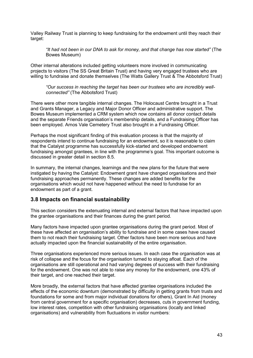Valley Railway Trust is planning to keep fundraising for the endowment until they reach their target:

*"It had not been in our DNA to ask for money, and that change has now started"* (The Bowes Museum)

Other internal alterations included getting volunteers more involved in communicating projects to visitors (The SS Great Britain Trust) and having very engaged trustees who are willing to fundraise and donate themselves (The Watts Gallery Trust & The Abbotsford Trust)

*"Our success in reaching the target has been our trustees who are incredibly wellconnected"* (The Abbotsford Trust)

There were other more tangible internal changes. The Holocaust Centre brought in a Trust and Grants Manager, a Legacy and Major Donor Officer and administrative support. The Bowes Museum implemented a CRM system which now contains all donor contact details and the separate Friends organisation's membership details, and a Fundraising Officer has been employed. Arnos Vale Cemetery Trust also brought in a Fundraising Officer.

Perhaps the most significant finding of this evaluation process is that the majority of respondents intend to continue fundraising for an endowment, so it is reasonable to claim that the Catalyst programme has successfully kick-started and developed endowment fundraising amongst grantees, in line with the programme's goal. This important outcome is discussed in greater detail in section 8.5.

In summary, the internal changes, learnings and the new plans for the future that were instigated by having the Catalyst: Endowment grant have changed organisations and their fundraising approaches permanently. These changes are added benefits for the organisations which would not have happened without the need to fundraise for an endowment as part of a grant.

### <span id="page-42-0"></span>**3.8 Impacts on financial sustainability**

This section considers the extenuating internal and external factors that have impacted upon the grantee organisations and their finances during the grant period.

Many factors have impacted upon grantee organisations during the grant period. Most of these have affected an organisation's ability to fundraise and in some cases have caused them to not reach their fundraising target. Other factors have been more serious and have actually impacted upon the financial sustainability of the entire organisation.

Three organisations experienced more serious issues. In each case the organisation was at risk of collapse and the focus for the organisation turned to staying afloat. Each of the organisations are still operational and had varying degrees of success with their fundraising for the endowment. One was not able to raise any money for the endowment, one 43% of their target, and one reached their target.

More broadly, the external factors that have affected grantee organisations included the effects of the economic downturn (demonstrated by difficulty in getting grants from trusts and foundations for some and from major individual donations for others), Grant In Aid (money from central government for a specific organisation) decreases, cuts in government funding, low interest rates, competition with other fundraising organisations (locally and linked organisations) and vulnerability from fluctuations in visitor numbers: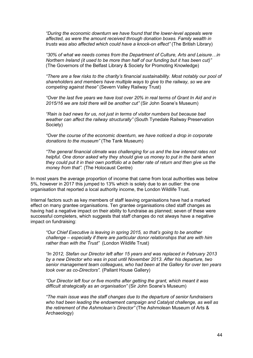*"During the economic downturn we have found that the lower-level appeals were affected, as were the amount received through donation boxes. Family wealth in trusts was also affected which could have a knock-on effect"* (The British Library)

*"30% of what we needs comes from the Department of Culture, Arts and Leisure…in Northern Ireland (it used to be more than half of our funding but it has been cut)"*  (The Governors of the Belfast Library & Society for Promoting Knowledge)

*"There are a few risks to the charity's financial sustainability. Most notably our pool of shareholders and members have multiple ways to give to the railway, so we are competing against these"* (Severn Valley Railway Trust)

*"Over the last five years we have lost over 20% in real terms of Grant In Aid and in 2015/16 we are told there will be another cut"* (Sir John Soane's Museum)

*"Rain is bad news for us, not just in terms of visitor numbers but because bad weather can affect the railway structurally"* (South Tynedale Railway Preservation Society)

*"Over the course of the economic downturn, we have noticed a drop in corporate donations to the museum"* (The Tank Museum)

*"The general financial climate was challenging for us and the low interest rates not helpful. One donor asked why they should give us money to put in the bank when they could put it in their own portfolio at a better rate of return and then give us the money from that".* (The Holocaust Centre)

In most years the average proportion of income that came from local authorities was below 5%, however in 2017 this jumped to 13% which is solely due to an outlier: the one organisation that reported a local authority income, the London Wildlife Trust.

Internal factors such as key members of staff leaving organisations have had a marked effect on many grantee organisations. Ten grantee organisations cited staff changes as having had a negative impact on their ability to fundraise as planned; seven of these were successful completers, which suggests that staff changes do not always have a negative impact on fundraising:

*"Our Chief Executive is leaving in spring 2015, so that's going to be another challenge – especially if there are particular donor relationships that are with him rather than with the Trust"* (London Wildlife Trust)

*"In 2012, Stefan our Director left after 15 years and was replaced in February 2013 by a new Director who was in post until November 2013. After his departure, two senior management team colleagues, who had been at the Gallery for over ten years took over as co-Directors".* (Pallant House Gallery)

*"Our Director left four or five months after getting the grant, which meant it was difficult strategically as an organisation"* (Sir John Soane's Museum)

*"The main issue was the staff changes due to the departure of senior fundraisers who had been leading the endowment campaign and Catalyst challenge, as well as the retirement of the Ashmolean's Director"* (The Ashmolean Museum of Arts & Archaeology)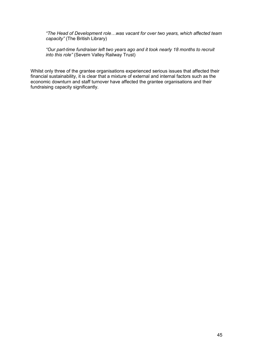*"The Head of Development role…was vacant for over two years, which affected team capacity"* (The British Library)

*"Our part-time fundraiser left two years ago and it took nearly 18 months to recruit into this role"* (Severn Valley Railway Trust)

Whilst only three of the grantee organisations experienced serious issues that affected their financial sustainability, it is clear that a mixture of external and internal factors such as the economic downturn and staff turnover have affected the grantee organisations and their fundraising capacity significantly.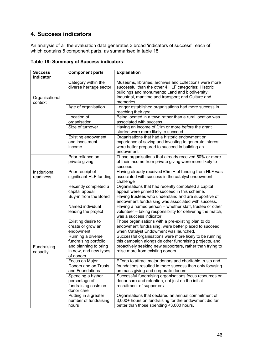# <span id="page-45-0"></span>**4. Success indicators**

An analysis of all the evaluation data generates 3 broad 'indicators of success', each of which contains 5 component parts, as summarised in table 18.

| <b>Success</b><br>indicator | <b>Component parts</b>                                                                                    | <b>Explanation</b>                                                                                                                                                                                                                    |
|-----------------------------|-----------------------------------------------------------------------------------------------------------|---------------------------------------------------------------------------------------------------------------------------------------------------------------------------------------------------------------------------------------|
| Organisational<br>context   | Category within the<br>diverse heritage sector                                                            | Museums, libraries, archives and collections were more<br>successful than the other 4 HLF categories: Historic<br>buildings and monuments; Land and biodiversity;<br>Industrial, maritime and transport; and Culture and<br>memories. |
|                             | Age of organisation                                                                                       | Longer established organisations had more success in<br>reaching their goal.                                                                                                                                                          |
|                             | Location of<br>organisation                                                                               | Being located in a town rather than a rural location was<br>associated with success.                                                                                                                                                  |
|                             | Size of turnover                                                                                          | Having an income of £1m or more before the grant<br>started were more likely to succeed                                                                                                                                               |
|                             | Existing endowment<br>and investment<br>income                                                            | Organisations that had a historic endowment or<br>experience of saving and investing to generate interest<br>were better prepared to succeed in building an<br>endowment                                                              |
|                             | Prior reliance on<br>private giving                                                                       | Those organisations that already received 50% or more<br>of their income from private giving were more likely to<br>succeed.                                                                                                          |
| Institutional<br>readiness  | Prior receipt of<br>significant HLF funding                                                               | Having already received £5m + of funding from HLF was<br>associated with success in the catalyst endowment<br>challenge                                                                                                               |
|                             | Recently completed a<br>capital appeal                                                                    | Organisations that had recently completed a capital<br>appeal were primed to succeed in this scheme.                                                                                                                                  |
|                             | Buy-in from the Board                                                                                     | Having trustees who understand and are supportive of<br>endowment fundraising was associated with success.                                                                                                                            |
|                             | Named individual<br>leading the project                                                                   | Having a named person - whether staff, trustee or other<br>volunteer - taking responsibility for delivering the match,<br>was a success indicator.                                                                                    |
|                             | Existing desire to<br>create or grow an<br>endowment                                                      | Those organisations with a pre-existing plan to do<br>endowment fundraising, were better placed to succeed<br>when Catalyst Endowment was launched.                                                                                   |
| Fundraising<br>capacity     | Running a diverse<br>fundraising portfolio<br>and planning to bring<br>in new, and new types<br>of donors | Successful organisations were more likely to be running<br>this campaign alongside other fundraising projects, and<br>proactively seeking new supporters, rather than trying to<br>raise more from existing donors.                   |
|                             | Focus on Major<br>Donors and on Trusts<br>and Foundations                                                 | Efforts to attract major donors and charitable trusts and<br>foundations resulted in more success than only focusing<br>on mass giving and corporate donors.                                                                          |
|                             | Spending a higher<br>percentage of<br>fundraising costs on<br>donor care                                  | Successful fundraising organisations focus resources on<br>donor care and retention, not just on the initial<br>recruitment of supporters.                                                                                            |
|                             | Putting in a greater<br>number of fundraising<br>hours                                                    | Organisations that declared an annual commitment of<br>3,000+ hours on fundraising for the endowment did far<br>better than those spending <3,000 hours.                                                                              |

**Table 18: Summary of Success indicators**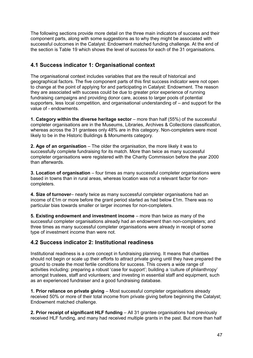The following sections provide more detail on the three main indicators of success and their component parts, along with some suggestions as to why they might be associated with successful outcomes in the Catalyst: Endowment matched funding challenge. At the end of the section is Table 19 which shows the level of success for each of the 31 organisations.

# <span id="page-46-0"></span>**4.1 Success indicator 1: Organisational context**

The organisational context includes variables that are the result of historical and geographical factors. The five component parts of this first success indicator were not open to change at the point of applying for and participating in Catalyst: Endowment. The reason they are associated with success could be due to greater prior experience of running fundraising campaigns and providing donor care, access to larger pools of potential supporters, less local competition, and organisational understanding of – and support for the value of - endowments.

**1. Category within the diverse heritage sector** – more than half (55%) of the successful completer organisations are in the Museums, Libraries, Archives & Collections classification, whereas across the 31 grantees only 48% are in this category. Non-completers were most likely to be in the Historic Buildings & Monuments category.

**2. Age of an organisation** – The older the organisation, the more likely it was to successfully complete fundraising for its match. More than twice as many successful completer organisations were registered with the Charity Commission before the year 2000 than afterwards.

**3. Location of organisation** – four times as many successful completer organisations were based in towns than in rural areas, whereas location was not a relevant factor for noncompleters.

**4. Size of turnover**– nearly twice as many successful completer organisations had an income of £1m or more before the grant period started as had below £1m. There was no particular bias towards smaller or larger incomes for non-completers.

**5. Existing endowment and investment income** – more than twice as many of the successful completer organisations already had an endowment than non-completers; and three times as many successful completer organisations were already in receipt of some type of investment income than were not.

# <span id="page-46-1"></span>**4.2 Success indicator 2: Institutional readiness**

Institutional readiness is a core concept in fundraising planning. It means that charities should not begin or scale up their efforts to attract private giving until they have prepared the ground to create the most fertile conditions for success. This covers a wide range of activities including: preparing a robust 'case for support'; building a 'culture of philanthropy' amongst trustees, staff and volunteers; and investing in essential staff and equipment, such as an experienced fundraiser and a good fundraising database.

**1. Prior reliance on private giving** – Most successful completer organisations already received 50% or more of their total income from private giving before beginning the Catalyst; Endowment matched challenge.

**2. Prior receipt of significant HLF funding** – All 31 grantee organisations had previously received HLF funding, and many had received multiple grants in the past. But more than half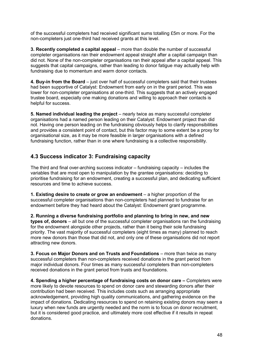of the successful completers had received significant sums totalling £5m or more. For the non-completers just one-third had received grants at this level.

**3. Recently completed a capital appeal** – more than double the number of successful completer organisations ran their endowment appeal straight after a capital campaign than did not. None of the non-completer organisations ran their appeal after a capital appeal. This suggests that capital campaigns, rather than leading to donor fatigue may actually help with fundraising due to momentum and warm donor contacts.

**4. Buy-in from the Board** – just over half of successful completers said that their trustees had been supportive of Catalyst: Endowment from early on in the grant period. This was lower for non-completer organisations at one-third. This suggests that an actively engaged trustee board, especially one making donations and willing to approach their contacts is helpful for success.

**5. Named individual leading the project** – nearly twice as many successful completer organisations had a named person leading on their Catalyst: Endowment project than did not. Having one person leading on the fundraising obviously helps to clarify responsibilities and provides a consistent point of contact, but this factor may to some extent be a proxy for organisational size, as it may be more feasible in larger organisations with a defined fundraising function, rather than in one where fundraising is a collective responsibility.

# <span id="page-47-0"></span>**4.3 Success indicator 3: Fundraising capacity**

The third and final over-arching success indicator – fundraising capacity – includes the variables that are most open to manipulation by the grantee organisations: deciding to prioritise fundraising for an endowment, creating a successful plan, and dedicating sufficient resources and time to achieve success.

**1. Existing desire to create or grow an endowment** – a higher proportion of the successful completer organisations than non-completers had planned to fundraise for an endowment before they had heard about the Catalyst: Endowment grant programme.

**2. Running a diverse fundraising portfolio and planning to bring in new, and new types of, donors** – all but one of the successful completer organisations ran the fundraising for the endowment alongside other projects, rather than it being their sole fundraising priority. The vast majority of successful completers (eight times as many) planned to reach more new donors than those that did not, and only one of these organisations did not report attracting new donors.

**3. Focus on Major Donors and on Trusts and Foundations** – more than twice as many successful completers than non-completers received donations in the grant period from major individual donors. Four times as many successful completers than non-completers received donations in the grant period from trusts and foundations.

**4. Spending a higher percentage of fundraising costs on donor care –** Completers were more likely to devote resources to spend on donor care and stewarding donors after their contribution had been received. This includes costs such as arranging appropriate acknowledgement, providing high quality communications, and gathering evidence on the impact of donations. Dedicating resources to spend on retaining existing donors may seem a luxury when new funds are urgently needed and the norm is to focus on donor recruitment, but it is considered good practice, and ultimately more cost effective if it results in repeat donations.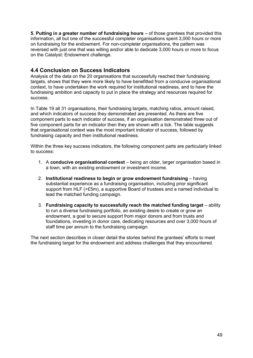**5. Putting in a greater number of fundraising hours** – of those grantees that provided this information, all but one of the successful completer organisations spent 3,000 hours or more on fundraising for the endowment. For non-completer organisations, the pattern was reversed with just one that was willing and/or able to dedicate 3,000 hours or more to focus on the Catalyst: Endowment challenge.

## <span id="page-48-0"></span>**4.4 Conclusion on Success Indicators**

Analysis of the data on the 20 organisations that successfully reached their fundraising targets, shows that they were more likely to have benefitted from a conducive organisational context, to have undertaken the work required for institutional readiness, and to have the fundraising ambition and capacity to put in place the strategy and resources required for success.

In Table 19 all 31 organisations, their fundraising targets, matching ratios, amount raised, and which indicators of success they demonstrated are presented. As there are five component parts to each indicator of success, if an organisation demonstrated three out of five component parts for an indicator then they are shown with a tick. The table suggests that organisational context was the most important indicator of success, followed by fundraising capacity and then institutional readiness.

Within the three key success indicators, the following component parts are particularly linked to success:

- 1. A **conducive organisational context**  being an older, larger organisation based in a town, with an existing endowment or investment income.
- 2. **Institutional readiness to begin or grow endowment fundraising** having substantial experience as a fundraising organisation, including prior significant support from HLF (>£5m), a supportive Board of trustees and a named individual to lead the matched funding campaign.
- 3. **Fundraising capacity to successfully reach the matched funding target** ability to run a diverse fundraising portfolio, an existing desire to create or grow an endowment, a goal to secure support from major donors and from trusts and foundations, investing in donor care, dedicating resources and over 3,000 hours of staff time per annum to the fundraising campaign.

The next section describes in closer detail the stories behind the grantees' efforts to meet the fundraising target for the endowment and address challenges that they encountered.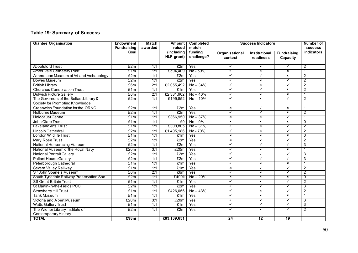# **Table 19: Summary of Success**

| <b>Grantee Organisation</b>             | <b>Endowment</b>   | <b>Match</b> | <b>Amount</b> | <b>Completed</b><br><b>Success Indicators</b> |                           |                           | Number of                 |                |
|-----------------------------------------|--------------------|--------------|---------------|-----------------------------------------------|---------------------------|---------------------------|---------------------------|----------------|
|                                         | <b>Fundraising</b> | awarded      | raised        | match                                         |                           |                           |                           | <b>SUCCESS</b> |
|                                         | Goal               |              | (including    | funding<br>challenge?                         | Organisational            | <b>Institutional</b>      | <b>Fundraising</b>        | indicators     |
|                                         |                    |              | HLF grant)    |                                               | context                   | readiness                 | Capacity                  |                |
| <b>Abbotsford Trust</b>                 | E2m                | 1:1          | £2m           | Yes                                           | $\checkmark$              | $\boldsymbol{\mathsf{x}}$ | $\checkmark$              | $\overline{2}$ |
| <b>Arnos Vale Cemetery Trust</b>        | £1m                | 1:1          | £594,409      | No - 59%                                      | $\checkmark$              | $\boldsymbol{\mathsf{x}}$ | $\boldsymbol{\mathsf{x}}$ |                |
| Ashmolean Museum of Art and Archaeology | £2m                | 1:1          | £2m           | Yes                                           | $\checkmark$              | $\checkmark$              | $\boldsymbol{\mathsf{x}}$ | $\overline{c}$ |
| Bowes Museum                            | £2m                | 1:1          | £2m           | Yes                                           | ✓                         | $\overline{\mathbf{x}}$   | ✓                         | 2              |
| <b>British Library</b>                  | £6m                | 2:1          | £2,055,492    | $No - 34%$                                    | $\checkmark$              | $\pmb{\times}$            | $\checkmark$              | $\overline{2}$ |
| <b>Churches Conservation Trust</b>      | £1m                | 1:1          | £1m           | Yes                                           | $\checkmark$              | ✓                         | $\boldsymbol{\mathsf{x}}$ | $\overline{2}$ |
| <b>Dulwich Picture Gallery</b>          | £6m                | 2:1          | £2,381,902    | $No - 40%$                                    | ✓                         | $\mathbf{x}$              | $\boldsymbol{\mathsf{x}}$ | -1             |
| The Governors of the Belfast Library &  | £2m                | 1:1          | £199,852      | $No - 10%$                                    | ✓                         | $\mathbf x$               | ✓                         | 2              |
| Society for Promoting Knowledge         |                    |              |               |                                               |                           |                           |                           |                |
| Greenwich Foundation for the ORNC       | £2m                | 1:1          | £2m           | Yes                                           | $\pmb{\times}$            | $\checkmark$              | $\boldsymbol{\mathsf{x}}$ |                |
| <b>Holburne Museum</b>                  | £2m                | 1:1          | £2m           | Yes                                           | $\checkmark$              | $\checkmark$              | $\mathbf{x}$              | $\overline{2}$ |
| Holocaust Centre                        | £1m                | 1:1          | £366,950      | $No - 37%$                                    | $\pmb{\times}$            | $\mathbf x$               | ✓                         |                |
| John Clare Trust                        | £1m                | 1:1          | £0            | $No-0\%$                                      | $\boldsymbol{\mathsf{x}}$ | $\boldsymbol{\mathsf{x}}$ | ×                         | $\mathbf{0}$   |
| <b>Lakeland Arts Trust</b>              | £1m                | 1:1          | £309,805      | $No - 31%$                                    | ✓                         | $\mathbf x$               | $\checkmark$              | 2              |
| Lincoln Cathedral                       | £2m                | 1:1          | £1,405,186    | No-70%                                        | $\checkmark$              | $\mathbf{x}$              | $\checkmark$              | $\overline{2}$ |
| London Wildlife Trust                   | £1m                | 1:1          | £1m           | Yes                                           | $\pmb{\times}$            | $\overline{\mathbf{x}}$   | $\overline{\mathbf{x}}$   | $\overline{0}$ |
| <b>Mary Rose Trust</b>                  | £2m                | 1:1          | £2m           | Yes                                           | $\mathbf x$               | $\checkmark$              | ✓                         | 2              |
| National Horseracing Museum             | £2m                | 1:1          | £2m           | Yes                                           | $\checkmark$              | $\checkmark$              | $\checkmark$              | 3              |
| National Museum of the Royal Navy       | £20m               | 3:1          | £20m          | Yes                                           | ✓                         | $\pmb{\times}$            | ×                         |                |
| <b>National Portrait Gallery</b>        | £2m                | 1:1          | £2m           | Yes                                           | ✓                         | ✓                         | ✓                         | 3              |
| <b>Pallant House Gallery</b>            | £2m                | 1:1          | £2m           | Yes                                           | $\checkmark$              | ✓                         | $\checkmark$              | 3              |
| Peterborough Cathedral                  | £1m                | 1:1          | £1m           | Yes                                           | $\checkmark$              | $\mathbf x$               | $\boldsymbol{\mathsf{x}}$ | $\mathbf{1}$   |
| <b>Severn Valley Railway</b>            | £1m                | 1:1          | £1m           | Yes                                           | $\pmb{\times}$            | $\checkmark$              | ✓                         | $\overline{2}$ |
| Sir John Soane's Museum                 | £6m                | 2:1          | £6m           | Yes                                           | $\checkmark$              | $\pmb{\times}$            | $\checkmark$              | $\overline{2}$ |
| South Tynedale Railway Preservation Soc | £2m                | 1:1          | £400k         | $No - 20%$                                    | $\overline{\mathbf{x}}$   | $\overline{\mathbf{x}}$   | $\overline{\mathbf{x}}$   | $\overline{0}$ |
| <b>SS Great Britain Trust</b>           | £1m                | 1:1          | £1m           | Yes                                           | $\checkmark$              | $\pmb{\times}$            | $\checkmark$              | 2              |
| St Martin-in-the-Fields PCC             | £2m                | 1:1          | £2m           | Yes                                           | $\checkmark$              | $\checkmark$              | $\checkmark$              | 3              |
| <b>Strawberry Hill Trust</b>            | £1m                | 1:1          | £426,056      | $No - 43%$                                    | $\checkmark$              | $\pmb{\times}$            | $\checkmark$              | $\overline{2}$ |
| Tank Museum                             | £1m                | 1:1          | £1m           | Yes                                           | ✓                         | $\overline{\mathbf{x}}$   | $\overline{\mathbf{x}}$   |                |
| <b>Victoria and Albert Museum</b>       | £20m               | 3:1          | £20m          | Yes                                           | ✓                         | $\checkmark$              | $\checkmark$              | 3              |
| <b>Watts Gallery Trust</b>              | £1m                | 1:1          | £1m           | Yes                                           | $\checkmark$              | $\checkmark$              | $\checkmark$              | 3              |
| The Wiener Library Institute of         | £2m                | 1:1          | £2m           | Yes                                           | ✓                         | $\boldsymbol{\mathsf{x}}$ | ✓                         | $\overline{2}$ |
| ContemporaryHistory                     |                    |              |               |                                               |                           |                           |                           |                |
| <b>TOTAL</b>                            | £98m               |              | £83,139,651   |                                               | 24                        | 12                        | $\overline{19}$           |                |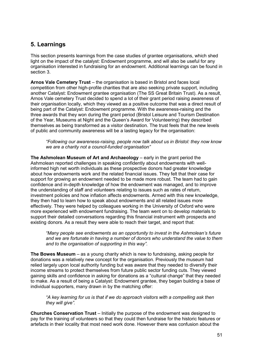# <span id="page-50-0"></span>**5. Learnings**

This section presents learnings from the case studies of grantee organisations, which shed light on the impact of the catalyst: Endowment programme, and will also be useful for any organisation interested in fundraising for an endowment. Additional learnings can be found in section 3.

**Arnos Vale Cemetery Trust** – the organisation is based in Bristol and faces local competition from other high-profile charities that are also seeking private support, including another Catalyst: Endowment grantee organisation (The SS Great Britain Trust). As a result, Arnos Vale cemetery Trust decided to spend a lot of their grant period raising awareness of their organisation locally, which they viewed as a positive outcome that was a direct result of being part of the Catalyst: Endowment programme. With the awareness-raising and the three awards that they won during the grant period (Bristol Leisure and Tourism Destination of the Year, Museums at Night and the Queen's Award for Volunteering) they described themselves as being transformed as a visitor destination. The trust feels that the new levels of public and community awareness will be a lasting legacy for the organisation:

*"Following our awareness-raising, people now talk about us in Bristol: they now know we are a charity not a council-funded organisation"* 

**The Ashmolean Museum of Art and Archaeology** – early in the grant period the Ashmolean reported challenges in speaking confidently about endowments with wellinformed high net worth individuals as these prospective donors had greater knowledge about how endowments work and the related financial issues. They felt that their case for support for growing an endowment needed to be made more robust. The team had to gain confidence and in-depth knowledge of how the endowment was managed, and to improve the understanding of staff and volunteers relating to issues such as rates of return, investment policies and how inflation affects endowments. Armed with this new knowledge, they then had to learn how to speak about endowments and all related issues more effectively. They were helped by colleagues working in the University of Oxford who were more experienced with endowment fundraising. The team went on to develop materials to support their detailed conversations regarding this financial instrument with prospects and existing donors. As a result they were able to reach their target, and report that:

*"Many people see endowments as an opportunity to invest in the Ashmolean's future and we are fortunate in having a number of donors who understand the value to them and to the organisation of supporting in this way".*

**The Bowes Museum** – as a young charity which is new to fundraising, asking people for donations was a relatively new concept for the organisation. Previously the museum had relied largely upon local authority funding but was aware that they needed to diversify their income streams to protect themselves from future public sector funding cuts. They viewed gaining skills and confidence in asking for donations as a "cultural change" that they needed to make. As a result of being a Catalyst: Endowment grantee, they began building a base of individual supporters, many drawn in by the matching offer:

*"A key learning for us is that if we do approach visitors with a compelling ask then they will give".*

**Churches Conservation Trust** – Initially the purpose of the endowment was designed to pay for the training of volunteers so that they could then fundraise for the historic features or artefacts in their locality that most need work done. However there was confusion about the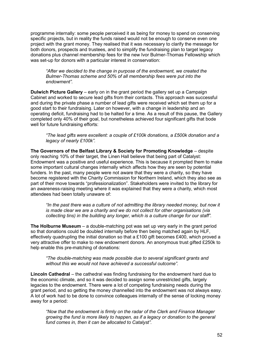programme internally: some people perceived it as being for money to spend on conserving specific projects, but in reality the funds raised would not be enough to conserve even one project with the grant money. They realised that it was necessary to clarify the message for both donors, prospects and trustees, and to simplify the fundraising plan to target legacy donations plus channel membership fees for the new Ivor Bulmer-Thomas Fellowship which was set-up for donors with a particular interest in conservation:

*"After we decided to the change in purpose of the endowment, we created the Bulmer-Thomas scheme and 50% of all membership fees were put into the endowment".*

**Dulwich Picture Gallery** – early on in the grant period the gallery set up a Campaign Cabinet and worked to secure lead gifts from their contacts. This approach was successful and during the private phase a number of lead gifts were received which set them up for a good start to their fundraising. Later on however, with a change in leadership and an operating deficit, fundraising had to be halted for a time. As a result of this pause, the Gallery completed only 40% of their goal, but nonetheless achieved four significant gifts that bode well for future fundraising efforts:

*"The lead gifts were excellent: a couple of £100k donations, a £500k donation and a legacy of nearly £100k".*

**The Governors of the Belfast Library & Society for Promoting Knowledge** – despite only reaching 10% of their target, the Linen Hall believe that being part of Catalyst: Endowment was a positive and useful experience. This is because it prompted them to make some important cultural changes internally which affects how they are seen by potential funders. In the past, many people were not aware that they were a charity, so they have become registered with the Charity Commission for Northern Ireland, which they also see as part of their move towards "professionalization". Stakeholders were invited to the library for an awareness-raising meeting where it was explained that they were a charity, which most attendees had been totally unaware of:

*"In the past there was a culture of not admitting the library needed money, but now it is made clear we are a charity and we do not collect for other organisations (via collecting tins) in the building any longer, which is a culture change for our staff".*

**The Holburne Museum** – a double-matching pot was set up very early in the grant period so that donations could be doubled internally before then being matched again by HLF, effectively quadrupling the initial donation so that a £100 gift becomes £400, which proved a very attractive offer to make to new endowment donors. An anonymous trust gifted £250k to help enable this pre-matching of donations:

*"The double-matching was made possible due to several significant grants and without this we would not have achieved a successful outcome".* 

**Lincoln Cathedral** – the cathedral was finding fundraising for the endowment hard due to the economic climate, and so it was decided to assign some unrestricted gifts, largely legacies to the endowment. There were a lot of competing fundraising needs during the grant period, and so getting the money channelled into the endowment was not always easy. A lot of work had to be done to convince colleagues internally of the sense of locking money away for a period:

*"Now that the endowment is firmly on the radar of the Clerk and Finance Manager growing the fund is more likely to happen, as if a legacy or donation to the general fund comes in, then it can be allocated to Catalyst".*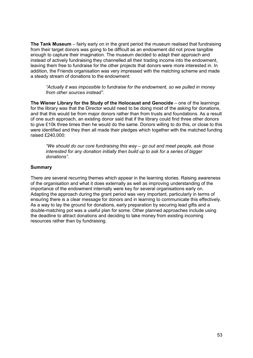**The Tank Museum** – fairly early on in the grant period the museum realised that fundraising from their target donors was going to be difficult as an endowment did not prove tangible enough to capture their imagination. The museum decided to adapt their approach and instead of actively fundraising they channelled all their trading income into the endowment, leaving them free to fundraise for the other projects that donors were more interested in. In addition, the Friends organisation was very impressed with the matching scheme and made a steady stream of donations to the endowment:

*"Actually it was impossible to fundraise for the endowment, so we pulled in money from other sources instead".*

**The Wiener Library for the Study of the Holocaust and Genocide** – one of the learnings for the library was that the Director would need to be doing most of the asking for donations, and that this would be from major donors rather than from trusts and foundations. As a result of one such approach, an existing donor said that if the library could find three other donors to give £10k three times then he would do the same. Donors willing to do this, or close to this were identified and they then all made their pledges which together with the matched funding raised £240,000:

*"We should do our core fundraising this way – go out and meet people, ask those interested for any donation initially then build up to ask for a series of bigger donations".*

### **Summary**

There are several recurring themes which appear in the learning stories. Raising awareness of the organisation and what it does externally as well as improving understanding of the importance of the endowment internally were key for several organisations early on. Adapting the approach during the grant period was very important, particularly in terms of ensuring there is a clear message for donors and in learning to communicate this effectively. As a way to lay the ground for donations, early preparation by securing lead gifts and a double-matching pot was a useful plan for some. Other planned approaches include using the deadline to attract donations and deciding to take money from existing incoming resources rather than by fundraising.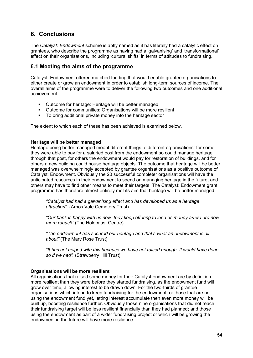# <span id="page-53-0"></span>**6. Conclusions**

The *Catalyst: Endowment* scheme is aptly named as it has literally had a catalytic effect on grantees, who describe the programme as having had a 'galvanising' and 'transformational' effect on their organisations, including 'cultural shifts' in terms of attitudes to fundraising.

# <span id="page-53-1"></span>**6.1 Meeting the aims of the programme**

Catalyst: Endowment offered matched funding that would enable grantee organisations to either create or grow an endowment in order to establish long-term sources of income. The overall aims of the programme were to deliver the following two outcomes and one additional achievement:

- **Outcome for heritage: Heritage will be better managed**
- Outcome for communities: Organisations will be more resilient<br>■ To bring additional private money into the heritage sector
- To bring additional private money into the heritage sector

The extent to which each of these has been achieved is examined below.

### **Heritage will be better managed**

Heritage being better managed meant different things to different organisations: for some, they were able to pay for a salaried post from the endowment so could manage heritage through that post, for others the endowment would pay for restoration of buildings, and for others a new building could house heritage objects. The outcome that heritage will be better managed was overwhelmingly accepted by grantee organisations as a positive outcome of Catalyst: Endowment. Obviously the 20 successful completer organisations will have the anticipated resources in their endowment to spend on managing heritage in the future, and others may have to find other means to meet their targets. The Catalyst: Endowment grant programme has therefore almost entirely met its aim that heritage will be better managed:

*"Catalyst had had a galvanising effect and has developed us as a heritage attraction*". (Arnos Vale Cemetery Trust)

*"Our bank is happy with us now: they keep offering to lend us money as we are now more robust!"* (The Holocaust Centre)

*"The endowment has secured our heritage and that's what an endowment is all about"* (The Mary Rose Trust)

*"It has not helped with this because we have not raised enough. It would have done so if we had".* (Strawberry Hill Trust)

### **Organisations will be more resilient**

All organisations that raised some money for their Catalyst endowment are by definition more resilient than they were before they started fundraising, as the endowment fund will grow over time, allowing interest to be drawn down. For the two-thirds of grantee organisations which intend to keep fundraising for the endowment, or those that are not using the endowment fund yet, letting interest accumulate then even more money will be built up, boosting resilience further. Obviously those nine organisations that did not reach their fundraising target will be less resilient financially than they had planned; and those using the endowment as part of a wider fundraising project or which will be growing the endowment in the future will have more resilience.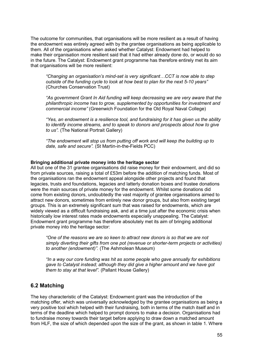The outcome for communities, that organisations will be more resilient as a result of having the endowment was entirely agreed with by the grantee organisations as being applicable to them. All of the organisations when asked whether Catalyst: Endowment had helped to make their organisation more resilient said that it had either already done do, or would do so in the future. The Catalyst: Endowment grant programme has therefore entirely met its aim that organisations will be more resilient:

*"Changing an organisation's mind-set is very significant…CCT is now able to step outside of the funding cycle to look at how best to plan for the next 5-10 years"* (Churches Conservation Trust)

*"As government Grant In Aid funding will keep decreasing we are very aware that the philanthropic income has to grow, supplemented by opportunities for investment and commercial income"* (Greenwich Foundation for the Old Royal Naval College)

*"Yes, an endowment is a resilience tool, and fundraising for it has given us the ability to identify income streams, and to speak to donors and prospects about how to give to us".* (The National Portrait Gallery)

*"The endowment will stop us from putting off work and will keep the building up to date, safe and secure".* (St Martin-in-the-Fields PCC)

#### **Bringing additional private money into the heritage sector**

All but one of the 31 grantee organisations did raise money for their endowment, and did so from private sources, raising a total of £53m before the addition of matching funds. Most of the organisations ran the endowment appeal alongside other projects and found that legacies, trusts and foundations, legacies and latterly donation boxes and trustee donations were the main sources of private money for the endowment. Whilst some donations did come from existing donors, undoubtedly the vast majority of grantee organisations aimed to attract new donors, sometimes from entirely new donor groups, but also from existing target groups. This is an extremely significant sum that was raised for endowments, which are widely viewed as a difficult fundraising ask, and at a time just after the economic crisis when historically low interest rates made endowments especially unappealing. The Catalyst: Endowment grant programme has therefore absolutely met its aim of bringing additional private money into the heritage sector:

*"One of the reasons we are so keen to attract new donors is so that we are not simply diverting their gifts from one pot (revenue or shorter-term projects or activities) to another (endowment)".* (The Ashmolean Museum)

*"In a way our core funding was hit as some people who gave annually for exhibitions gave to Catalyst instead; although they did give a higher amount and we have got them to stay at that level".* (Pallant House Gallery)

## <span id="page-54-0"></span>**6.2 Matching**

The key characteristic of the Catalyst: Endowment grant was the introduction of the matching offer, which was universally acknowledged by the grantee organisations as being a very positive tool which helped with their fundraising, both in terms of the match itself and in terms of the deadline which helped to prompt donors to make a decision. Organisations had to fundraise money towards their target before applying to draw down a matched amount from HLF, the size of which depended upon the size of the grant, as shown in table 1. Where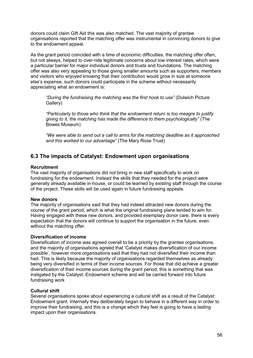donors could claim Gift Aid this was also matched. The vast majority of grantee organisations reported that the matching offer was instrumental in convincing donors to give to the endowment appeal.

As the grant period coincided with a time of economic difficulties, the matching offer often, but not always, helped to over-ride legitimate concerns about low interest rates, which were a particular barrier for major individual donors and trusts and foundations. The matching offer was also very appealing to those giving smaller amounts such as supporters, members and visitors who enjoyed knowing that their contribution would grow in size at someone else's expense, such donors could participate in the scheme without necessarily appreciating what an endowment is:

*"During the fundraising the matching was the first hook to use"* (Dulwich Picture Gallery)

*"Particularly to those who think that the endowment return is too meagre to justify giving to it, the matching has made the difference to them psychologically"* (The Bowes Museum)

*"We were able to send out a call to arms for the matching deadline as it approached and this worked to our advantage"* (The Mary Rose Trust)

# <span id="page-55-0"></span>**6.3 The impacts of Catalyst: Endowment upon organisations**

### **Recruitment**

The vast majority of organisations did not bring in new staff specifically to work on fundraising for the endowment. Instead the skills that they needed for the project were generally already available in-house, or could be learned by existing staff through the course of the project. These skills will be used again in future fundraising appeals.

### **New donors**

The majority of organisations said that they had indeed attracted new donors during the course of the grant period, which is what the original fundraising plans tended to aim for. Having engaged with these new donors, and provided exemplary donor care, there is every expectation that the donors will continue to support the organisation in the future, even without the matching offer.

### **Diversification of income**

Diversification of income was agreed overall to be a priority by the grantee organisations, and the majority of organisations agreed that 'Catalyst makes diversification of our income possible', however more organisations said that they had not diversified their income than had. This is likely because the majority of organisations regarded themselves as already being very diversified in terms of their income sources. For those that did achieve a greater diversification of their income sources during the grant period, this is something that was instigated by the Catalyst: Endowment scheme and will be carried forward into future fundraising work

### **Cultural shift**

Several organisations spoke about experiencing a cultural shift as a result of the Catalyst: Endowment grant. Internally they deliberately began to behave in a different way in order to improve their fundraising, and this is a change which they feel is going to have a lasting impact upon their organisations.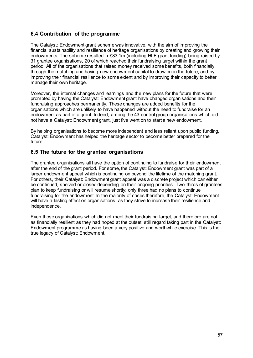## <span id="page-56-0"></span>**6.4 Contribution of the programme**

The Catalyst: Endowment grant scheme was innovative, with the aim of improving the financial sustainability and resilience of heritage organisations by creating and growing their endowments. The scheme resulted in £83.1m (including HLF grant funding) being raised by 31 grantee organisations, 20 of which reached their fundraising target within the grant period. All of the organisations that raised money received some benefits, both financially through the matching and having new endowment capital to draw on in the future, and by improving their financial resilience to some extent and by improving their capacity to better manage their own heritage.

Moreover, the internal changes and learnings and the new plans for the future that were prompted by having the Catalyst: Endowment grant have changed organisations and their fundraising approaches permanently. These changes are added benefits for the organisations which are unlikely to have happened without the need to fundraise for an endowment as part of a grant. Indeed, among the 43 control group organisations which did not have a Catalyst: Endowment grant, just five went on to start a new endowment.

By helping organisations to become more independent and less reliant upon public funding, Catalyst: Endowment has helped the heritage sector to become better prepared for the future.

## <span id="page-56-1"></span>**6.5 The future for the grantee organisations**

The grantee organisations all have the option of continuing to fundraise for their endowment after the end of the grant period. For some, the Catalyst: Endowment grant was part of a larger endowment appeal which is continuing on beyond the lifetime of the matching grant. For others, their Catalyst: Endowment grant appeal was a discrete project which can either be continued, shelved or closed depending on their ongoing priorities. Two-thirds of grantees plan to keep fundraising or will resume shortly: only three had no plans to continue fundraising for the endowment. In the majority of cases therefore, the Catalyst: Endowment will have a lasting effect on organisations, as they strive to increase their resilience and independence.

Even those organisations which did not meet their fundraising target, and therefore are not as financially resilient as they had hoped at the outset, still regard taking part in the Catalyst: Endowment programme as having been a very positive and worthwhile exercise. This is the true legacy of Catalyst: Endowment.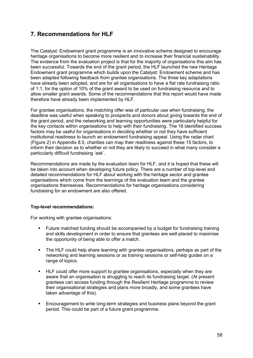# <span id="page-57-0"></span>**7. Recommendations for HLF**

The Catalyst: Endowment grant programme is an innovative scheme designed to encourage heritage organisations to become more resilient and to increase their financial sustainability. The evidence from the evaluation project is that for the majority of organisations this aim has been successful. Towards the end of the grant period, the HLF launched the new Heritage Endowment grant programme which builds upon the Catalyst: Endowment scheme and has been adapted following feedback from grantee organisations. The three key adaptations have already been adopted, and are for all organisations to have a flat rate fundraising ratio of 1:1, for the option of 10% of the grant award to be used on fundraising resource and to allow smaller grant awards. Some of the recommendations that this report would have made therefore have already been implemented by HLF.

For grantee organisations, the matching offer was of particular use when fundraising, the deadline was useful when speaking to prospects and donors about giving towards the end of the grant period, and the networking and learning opportunities were particularly helpful for the key contacts within organisations to help with their fundraising. The 16 identified success factors may be useful for organisations in deciding whether or not they have sufficient institutional readiness to launch an endowment fundraising appeal. Using the radar chart (Figure 2) in Appendix 8.5, charities can map their readiness against these 15 factors, to inform their decision as to whether or not they are likely to succeed in what many consider a particularly difficult fundraising 'ask'.

Recommendations are made by the evaluation team for HLF, and it is hoped that these will be taken into account when developing future policy. There are a number of top-level and detailed recommendations for HLF about working with the heritage sector and grantee organisations which come from the learnings of the evaluation team and the grantee organisations themselves. Recommendations for heritage organisations considering fundraising for an endowment are also offered.

### **Top-level recommendations:**

For working with grantee organisations:

- Future matched funding should be accompanied by a budget for fundraising training and skills development in order to ensure that grantees are well-placed to maximise the opportunity of being able to offer a match.
- The HLF could help share learning with grantee organisations, perhaps as part of the networking and learning sessions or as training sessions or self-help guides on a range of topics.
- HLF could offer more support to grantee organisations, especially when they are aware that an organisation is struggling to reach its fundraising target. (At present grantees can access funding through the Resilient Heritage programme to review their organisational strategies and plans more broadly, and some grantees have taken advantage of this).
- **Encouragement to write long-term strategies and business plans beyond the grant** period. This could be part of a future grant programme.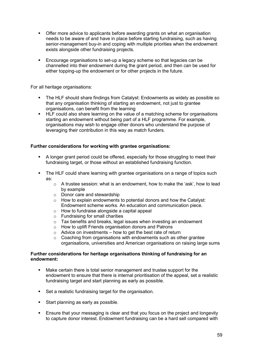- **Offer more advice to applicants before awarding grants on what an organisation** needs to be aware of and have in place before starting fundraising, such as having senior-management buy-in and coping with multiple priorities when the endowment exists alongside other fundraising projects.
- **Encourage organisations to set-up a legacy scheme so that legacies can be** channelled into their endowment during the grant period, and then can be used for either topping-up the endowment or for other projects in the future.

For all heritage organisations:

- The HLF should share findings from Catalyst: Endowments as widely as possible so that any organisation thinking of starting an endowment, not just to grantee organisations, can benefit from the learning
- **HLF** could also share learning on the value of a matching scheme for organisations starting an endowment without being part of a HLF programme. For example, organisations may wish to engage other donors who understand the purpose of leveraging their contribution in this way as match funders.

### **Further considerations for working with grantee organisations:**

- A longer grant period could be offered, especially for those struggling to meet their fundraising target, or those without an established fundraising function.
- The HLF could share learning with grantee organisations on a range of topics such as:
	- $\circ$  A trustee session: what is an endowment, how to make the 'ask', how to lead by example
	- o Donor care and stewardship
	- o How to explain endowments to potential donors and how the Catalyst: Endowment scheme works. An education and communication piece.
	- o How to fundraise alongside a capital appeal
	- o Fundraising for small charities
	- $\circ$  Tax benefits and breaks, legal issues when investing an endowment
	- o How to uplift Friends organisation donors and Patrons
	- $\circ$  Advice on investments how to get the best rate of return
	- $\circ$  Coaching from organisations with endowments such as other grantee organisations, universities and American organisations on raising large sums

### **Further considerations for heritage organisations thinking of fundraising for an endowment:**

- Make certain there is total senior management and trustee support for the endowment to ensure that there is internal prioritisation of the appeal, set a realistic fundraising target and start planning as early as possible.
- Set a realistic fundraising target for the organisation.
- Start planning as early as possible.
- Ensure that your messaging is clear and that you focus on the project and longevity to capture donor interest. Endowment fundraising can be a hard sell compared with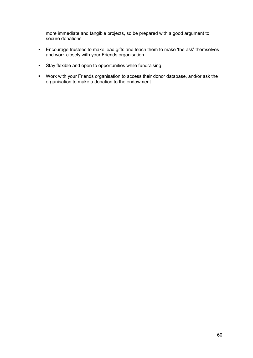more immediate and tangible projects, so be prepared with a good argument to secure donations.

- Encourage trustees to make lead gifts and teach them to make 'the ask' themselves; and work closely with your Friends organisation
- Stay flexible and open to opportunities while fundraising.
- Work with your Friends organisation to access their donor database, and/or ask the organisation to make a donation to the endowment.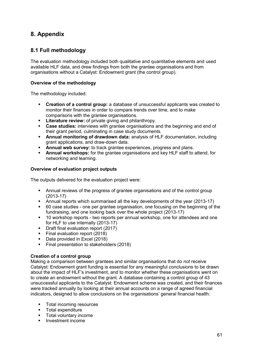# <span id="page-60-0"></span>**8. Appendix**

# <span id="page-60-1"></span>**8.1 Full methodology**

The evaluation methodology included both qualitative and quantitative elements and used available HLF data, and drew findings from both the grantee organisations and from organisations without a Catalyst: Endowment grant (the control group).

### **Overview of the methodology**

The methodology included:

- **Creation of a control group:** a database of unsuccessful applicants was created to monitor their finances in order to compare trends over time, and to make comparisons with the grantee organisations.
- **Literature review:** of private giving and philanthropy.
- **Case studies:** interviews with grantee organisations and the beginning and end of their grant period, culminating in case study documents.
- **Annual monitoring of drawdown data:** analysis of HLF documentation, including grant applications, and draw-down data.
- **Annual web survey:** to track grantee experiences, progress and plans.
- **Annual workshops:** for the grantee organisations and key HLF staff to attend, for networking and learning.

### **Overview of evaluation project outputs**

The outputs delivered for the evaluation project were:

- Annual reviews of the progress of grantee organisations and of the control group (2013-17)
- Annual reports which summarised all the key developments of the year (2013-17)
- 60 case studies one per grantee organisation, one focusing on the beginning of the fundraising, and one looking back over the whole project (2013-17)
- **10 workshop reports two reports per annual workshop, one for attendees and one** for HLF to use internally (2013-17)
- **Draft final evaluation report (2017)**
- Final evaluation report (2018)
- Data provided in Excel (2018)
- **Final presentation to stakeholders (2018)**

### **Creation of a control group**

Making a comparison between grantees and similar organisations that do *not* receive Catalyst: Endowment grant funding is essential for any meaningful conclusions to be drawn about the impact of HLF's investment, and to monitor whether these organisations went on to create an endowment without the grant. A database containing a control group of 43 unsuccessful applicants to the Catalyst: Endowment scheme was created, and their finances were tracked annually by looking at their annual accounts on a range of agreed financial indicators, designed to allow conclusions on the organisations' general financial health:

- **Total incoming resources**
- **Total expenditure**
- Total voluntary income
- $\blacksquare$  Investment income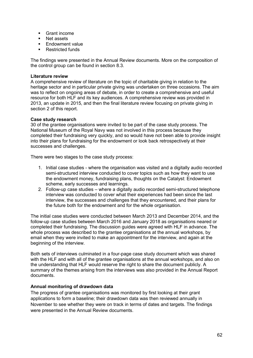- Grant income
- Net assets
- **Endowment value**
- Restricted funds

The findings were presented in the Annual Review documents. More on the composition of the control group can be found in section 8.3.

### **Literature review**

A comprehensive review of literature on the topic of charitable giving in relation to the heritage sector and in particular private giving was undertaken on three occasions. The aim was to reflect on ongoing areas of debate, in order to create a comprehensive and useful resource for both HLF and its key audiences. A comprehensive review was provided in 2013, an update in 2015, and then the final literature review focusing on private giving in section 2 of this report.

### **Case study research**

30 of the grantee organisations were invited to be part of the case study process. The National Museum of the Royal Navy was not involved in this process because they completed their fundraising very quickly, and so would have not been able to provide insight into their plans for fundraising for the endowment or look back retrospectively at their successes and challenges.

There were two stages to the case study process:

- 1. Initial case studies where the organisation was visited and a digitally audio recorded semi-structured interview conducted to cover topics such as how they want to use the endowment money, fundraising plans, thoughts on the Catalyst: Endowment scheme, early successes and learnings.
- 2. Follow-up case studies where a digitally audio recorded semi-structured telephone interview was conducted to cover what their experiences had been since the last interview, the successes and challenges that they encountered, and their plans for the future both for the endowment and for the whole organisation.

The initial case studies were conducted between March 2013 and December 2014, and the follow-up case studies between March 2016 and January 2018 as organisations neared or completed their fundraising. The discussion guides were agreed with HLF in advance. The whole process was described to the grantee organisations at the annual workshops, by email when they were invited to make an appointment for the interview, and again at the beginning of the interview.

Both sets of interviews culminated in a four-page case study document which was shared with the HLF and with all of the grantee organisations at the annual workshops, and also on the understanding that HLF would reserve the right to share the document publicly. A summary of the themes arising from the interviews was also provided in the Annual Report documents.

### **Annual monitoring of drawdown data**

The progress of grantee organisations was monitored by first looking at their grant applications to form a baseline; their drawdown data was then reviewed annually in November to see whether they were on track in terms of dates and targets. The findings were presented in the Annual Review documents.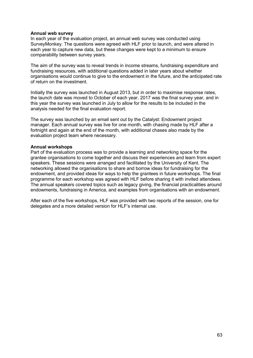#### **Annual web survey**

In each year of the evaluation project, an annual web survey was conducted using SurveyMonkey. The questions were agreed with HLF prior to launch, and were altered in each year to capture new data, but these changes were kept to a minimum to ensure comparability between survey years.

The aim of the survey was to reveal trends in income streams, fundraising expenditure and fundraising resources, with additional questions added in later years about whether organisations would continue to give to the endowment in the future, and the anticipated rate of return on the investment.

Initially the survey was launched in August 2013, but in order to maximise response rates, the launch date was moved to October of each year. 2017 was the final survey year, and in this year the survey was launched in July to allow for the results to be included in the analysis needed for the final evaluation report.

The survey was launched by an email sent out by the Catalyst: Endowment project manager. Each annual survey was live for one month, with chasing made by HLF after a fortnight and again at the end of the month, with additional chases also made by the evaluation project team where necessary.

#### **Annual workshops**

Part of the evaluation process was to provide a learning and networking space for the grantee organisations to come together and discuss their experiences and learn from expert speakers. These sessions were arranged and facilitated by the University of Kent. The networking allowed the organisations to share and borrow ideas for fundraising for the endowment, and provided ideas for ways to help the grantees in future workshops. The final programme for each workshop was agreed with HLF before sharing it with invited attendees. The annual speakers covered topics such as legacy giving, the financial practicalities around endowments, fundraising in America, and examples from organisations with an endowment.

After each of the five workshops, HLF was provided with two reports of the session, one for delegates and a more detailed version for HLF's internal use.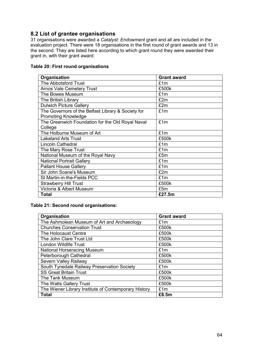# <span id="page-63-0"></span>**8.2 List of grantee organisations**

31 organisations were awarded a *Catalyst: Endowment* grant and all are included in the evaluation project. There were 18 organisations in the first round of grant awards and 13 in the second. They are listed here according to which grant round they were awarded their grant in, with their grant award:

### **Table 20: First round organisations**

| Organisation                                       | <b>Grant award</b> |
|----------------------------------------------------|--------------------|
| The Abbotsford Trust                               | £1m                |
| <b>Arnos Vale Cemetery Trust</b>                   | £500k              |
| The Bowes Museum                                   | £1m                |
| The British Library                                | £2m                |
| <b>Dulwich Picture Gallery</b>                     | £2m                |
| The Governors of the Belfast Library & Society for | £1m                |
| <b>Promoting Knowledge</b>                         |                    |
| The Greenwich Foundation for the Old Royal Naval   | £1m                |
| College                                            |                    |
| The Holburne Museum of Art                         | £1m                |
| <b>Lakeland Arts Trust</b>                         | £500k              |
| <b>Lincoln Cathedral</b>                           | £1m                |
| The Mary Rose Trust                                | £1m                |
| National Museum of the Royal Navy                  | £5m                |
| <b>National Portrait Gallery</b>                   | £1m                |
| <b>Pallant House Gallery</b>                       | £1m                |
| Sir John Soane's Museum                            | £2m                |
| St Martin-in-the-Fields PCC                        | £1m                |
| <b>Strawberry Hill Trust</b>                       | £500k              |
| Victoria & Albert Museum                           | £5m                |
| <b>Total</b>                                       | £27.5m             |

### **Table 21: Second round organisations:**

| Organisation                                         | <b>Grant award</b> |
|------------------------------------------------------|--------------------|
| The Ashmolean Museum of Art and Archaeology          | £1m                |
| <b>Churches Conservation Trust</b>                   | £500k              |
| The Holocaust Centre                                 | £500k              |
| The John Clare Trust Ltd                             | £500k              |
| <b>London Wildlife Trust</b>                         | £500k              |
| <b>National Horseracing Museum</b>                   | £1m                |
| Peterborough Cathedral                               | £500k              |
| Severn Valley Railway                                | £500k              |
| South Tynedale Railway Preservation Society          | £1m                |
| <b>SS Great Britain Trust</b>                        | £500k              |
| The Tank Museum                                      | £500k              |
| The Watts Gallery Trust                              | £500k              |
| The Wiener Library Institute of Contemporary History | £1m                |
| <b>Total</b>                                         | £8.5m              |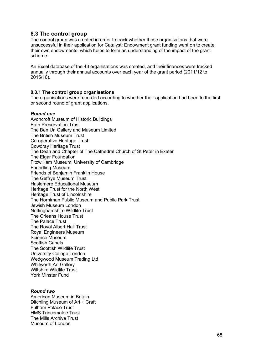## <span id="page-64-0"></span>**8.3 The control group**

The control group was created in order to track whether those organisations that were unsuccessful in their application for Catalyst: Endowment grant funding went on to create their own endowments, which helps to form an understanding of the impact of the grant scheme.

An Excel database of the 43 organisations was created, and their finances were tracked annually through their annual accounts over each year of the grant period (2011/12 to 2015/16).

### <span id="page-64-1"></span>**8.3.1 The control group organisations**

The organisations were recorded according to whether their application had been to the first or second round of grant applications.

#### *Round one*

Avoncroft Museum of Historic Buildings Bath Preservation Trust The Ben Uri Gallery and Museum Limited The British Museum Trust Co-operative Heritage Trust Cowdray Heritage Trust The Dean and Chapter of The Cathedral Church of St Peter in Exeter The Elgar Foundation Fitzwilliam Museum, University of Cambridge Foundling Museum Friends of Benjamin Franklin House The Geffrye Museum Trust Haslemere Educational Museum Heritage Trust for the North West Heritage Trust of Lincolnshire The Horniman Public Museum and Public Park Trust Jewish Museum London Nottinghamshire Wildlife Trust The Orleans House Trust The Palace Trust The Royal Albert Hall Trust Royal Engineers Museum Science Museum Scottish Canals The Scottish Wildlife Trust University College London Wedgwood Museum Trading Ltd Whitworth Art Gallery Wiltshire Wildlife Trust York Minster Fund

### *Round two*

American Museum in Britain Ditchling Museum of Art + Craft Fulham Palace Trust HMS Trincomalee Trust The Mills Archive Trust Museum of London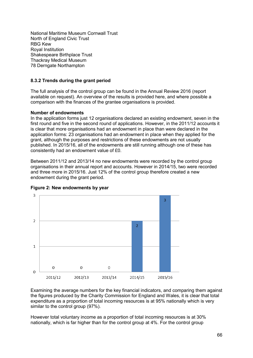National Maritime Museum Cornwall Trust North of England Civic Trust RBG Kew Royal Institution Shakespeare Birthplace Trust Thackray Medical Museum 78 Derngate Northampton

### <span id="page-65-0"></span>**8.3.2 Trends during the grant period**

The full analysis of the control group can be found in the Annual Review 2016 (report available on request). An overview of the results is provided here, and where possible a comparison with the finances of the grantee organisations is provided.

#### **Number of endowments**

In the application forms just 12 organisations declared an existing endowment, seven in the first round and five in the second round of applications. However, in the 2011/12 accounts it is clear that more organisations had an endowment in place than were declared in the application forms: 23 organisations had an endowment in place when they applied for the grant, although the purposes and restrictions of these endowments are not usually published. In 2015/16, all of the endowments are still running although one of these has consistently had an endowment value of £0.

Between 2011/12 and 2013/14 no new endowments were recorded by the control group organisations in their annual report and accounts. However in 2014/15, two were recorded and three more in 2015/16. Just 12% of the control group therefore created a new endowment during the grant period.



**Figure 2: New endowments by year** 

Examining the average numbers for the key financial indicators, and comparing them against the figures produced by the Charity Commission for England and Wales, it is clear that total expenditure as a proportion of total incoming resources is at 95% nationally which is very similar to the control group (97%).

However total voluntary income as a proportion of total incoming resources is at 30% nationally, which is far higher than for the control group at 4%. For the control group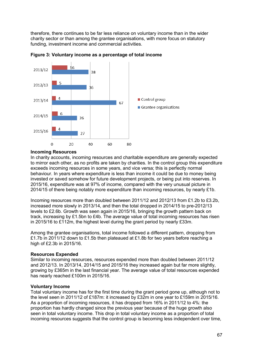therefore, there continues to be far less reliance on voluntary income than in the wider charity sector or than among the grantee organisations, with more focus on statutory funding, investment income and commercial activities.



**Figure 3: Voluntary income as a percentage of total income** 

#### **Incoming Resources**

In charity accounts, incoming resources and charitable expenditure are generally expected to mirror each other, as no profits are taken by charities. In the control group this expenditure exceeds incoming resources in some years, and vice versa; this is perfectly normal behaviour. In years where expenditure is less than income it could be due to money being invested or saved somehow for future development projects, or being put into reserves. In 2015/16, expenditure was at 97% of income, compared with the very unusual picture in 2014/15 of there being notably more expenditure than incoming resources, by nearly £1b.

Incoming resources more than doubled between 2011/12 and 2012/13 from £1.2b to £3.2b, increased more slowly in 2013/14, and then the total dropped in 2014/15 to pre-2012/13 levels to £2.6b. Growth was seen again in 2015/16, bringing the growth pattern back on track, increasing by £1.5bn to £4b. The average value of total incoming resources has risen in 2015/16 to £112m, the highest level during the grant period by nearly £33m.

Among the grantee organisations, total income followed a different pattern, dropping from £1.7b in 2011/12 down to £1.5b then plateaued at £1.8b for two years before reaching a high of £2.3b in 2015/16.

#### **Resources Expended**

Similar to incoming resources, resources expended more than doubled between 2011/12 and 2012/13. In 2013/14, 2014/15 and 2015/16 they increased again but far more slightly, growing by £365m in the last financial year. The average value of total resources expended has nearly reached £100m in 2015/16.

### **Voluntary Income**

Total voluntary income has for the first time during the grant period gone up, although not to the level seen in 2011/12 of £187m: it increased by £32m in one year to £159m in 2015/16. As a proportion of incoming resources, it has dropped from 16% in 2011/12 to 4%: the proportion has hardly changed since the previous year because of the huge growth also seen in total voluntary income. This drop in total voluntary income as a proportion of total incoming resources suggests that the control group is becoming less independent over time,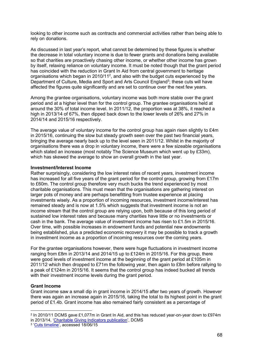looking to other income such as contracts and commercial activities rather than being able to rely on donations.

As discussed in last year's report, what cannot be determined by these figures is whether the decrease in total voluntary income is due to fewer grants and donations being available so that charities are proactively chasing other income, or whether other income has grown by itself, relaxing reliance on voluntary income. It must be noted though that the grant period has coincided with the reduction in Grant In Aid from central government to heritage organisations which began in 2010/11<sup>2</sup>, and also with the budget cuts experienced by the Department of Culture, Media and Sport and Arts Council England<sup>3</sup>; these cuts will have affected the figures quite significantly and are set to continue over the next few years.

Among the grantee organisations, voluntary income was both more stable over the grant period and at a higher level than for the control group. The grantee organisations held at around the 30% of total income level. In 2011/12, the proportion was at 38%, it reached a high in 2013/14 of 67%, then dipped back down to the lower levels of 26% and 27% in 2014/14 and 2015/16 respectively.

The average value of voluntary income for the control group has again risen slightly to £4m in 2015/16, continuing the slow but steady growth seen over the past two financial years, bringing the average nearly back up to the level seen in 2011/12. Whilst in the majority of organisations there was a drop in voluntary income, there were a few sizeable organisations which stated an increase (most notably The Science Museum which went up by £33m). which has skewed the average to show an overall growth in the last year.

#### **Investment/Interest Income**

Rather surprisingly, considering the low interest rates of recent years, investment income has increased for all five years of the grant period for the control group, growing from £17m to £60m. The control group therefore very much bucks the trend experienced by most charitable organisations. This must mean that the organisations are gathering interest on larger pots of money and are perhaps benefitting from trustee experience at placing investments wisely. As a proportion of incoming resources, investment income/interest has remained steady and is now at 1.5% which suggests that investment income is not an income stream that the control group are relying upon, both because of this long period of sustained low interest rates and because many charities have little or no investments or cash in the bank. The average value of investment income has risen to £1.5m in 2015/16. Over time, with possible increases in endowment funds and potential new endowments being established, plus a predicted economic recovery it may be possible to track a growth in investment income as a proportion of incoming resources over the coming years.

For the grantee organisations however, there were huge fluctuations in investment income ranging from £8m in 2013/14 and 2014/15 up to £124m in 2015/16. For this group, there were good levels of investment income at the beginning of the grant period at £105m in 2011/12 which then dropped to £71m the following year, then again to £8m before rallying to a peak of £124m in 2015/16. It seems that the control group has indeed bucked all trends with their investment income levels during the grant period.

#### **Grant Income**

Grant income saw a small dip in grant income in 2014/15 after two years of growth. However there was again an increase again in 2015/16, taking the total to its highest point in the grant period of £1.4b. Grant income has also remained fairly consistent as a percentage of

<sup>-</sup> $^2$  In 2010/11 DCMS gave £1,077m in Grant In Aid, and this has reduced year-on-year down to £974m in 2013/14, ['Charitable Giving Indicators publication'](https://www.gov.uk/government/statistics/charitable-giving-indicators-201314), DCMS

<sup>&</sup>lt;sup>3</sup> ['Cuts timeline',](http://www.museumsassociation.org/campaigns/funding-cuts/19122012-cuts-timeline) accessed 18/06/15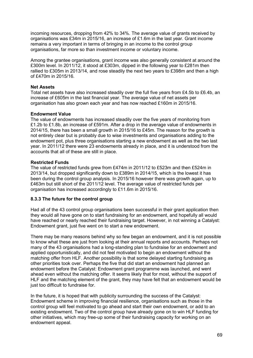incoming resources, dropping from 42% to 34%. The average value of grants received by organisations was £34m in 2015/16, an increase of £1.6m in the last year. Grant income remains a very important in terms of bringing in an income to the control group organisations, far more so than investment income or voluntary income.

Among the grantee organisations, grant income was also generally consistent at around the £300m level. In 2011/12, it stood at £303m, dipped in the following year to £281m then rallied to £305m in 2013/14, and rose steadily the next two years to £398m and then a high of £470m in 2015/16.

### **Net Assets**

Total net assets have also increased steadily over the full five years from £4.5b to £6.4b, an increase of £605m in the last financial year. The average value of net assets per organisation has also grown each year and has now reached £160m in 2015/16.

### **Endowment Value**

The value of endowments has increased steadily over the five years of monitoring from £1.2b to £1.8b, an increase of £591m. After a drop in the average value of endowments in 2014/15, there has been a small growth in 2015/16 to £45m. The reason for the growth is not entirely clear but is probably due to wise investments and organisations adding to the endowment pot, plus three organisations starting a new endowment as well as the two last year. In 2011/12 there were 23 endowments already in place, and it is understood from the accounts that all of these are still in place.

### **Restricted Funds**

The value of restricted funds grew from £474m in 2011/12 to £523m and then £524m in 2013/14, but dropped significantly down to £389m in 2014/15, which is the lowest it has been during the control group analysis. In 2015/16 however there was growth again, up to £463m but still short of the 2011/12 level. The average value of restricted funds per organisation has increased accordingly to £11.6m in 2015/16.

### <span id="page-68-0"></span>**8.3.3 The future for the control group**

Had all of the 43 control group organisations been successful in their grant application then they would all have gone on to start fundraising for an endowment, and hopefully all would have reached or nearly reached their fundraising target. However, in not winning a Catalyst: Endowment grant, just five went on to start a new endowment.

There may be many reasons behind why so few began an endowment, and it is not possible to know what these are just from looking at their annual reports and accounts. Perhaps not many of the 43 organisations had a long-standing plan to fundraise for an endowment and applied opportunistically, and did not feel motivated to begin an endowment without the matching offer from HLF. Another possibility is that some delayed starting fundraising as other priorities took over. Perhaps the five that did start an endowment had planned an endowment before the Catalyst: Endowment grant programme was launched, and went ahead even without the matching offer. It seems likely that for most, without the support of HLF and the matching element of the grant, they may have felt that an endowment would be just too difficult to fundraise for.

In the future, it is hoped that with publicity surrounding the success of the Catalyst: Endowment scheme in improving financial resilience, organisations such as those in the control group will feel motivated to go ahead and start their own endowment, or add to an existing endowment. Two of the control group have already gone on to win HLF funding for other initiatives, which may free-up some of their fundraising capacity for working on an endowment appeal.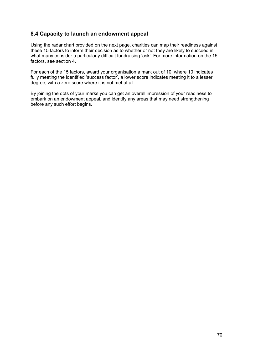# <span id="page-69-0"></span>**8.4 Capacity to launch an endowment appeal**

Using the radar chart provided on the next page, charities can map their readiness against these 15 factors to inform their decision as to whether or not they are likely to succeed in what many consider a particularly difficult fundraising 'ask'. For more information on the 15 factors, see section 4.

For each of the 15 factors, award your organisation a mark out of 10, where 10 indicates fully meeting the identified 'success factor', a lower score indicates meeting it to a lesser degree, with a zero score where it is not met at all.

By joining the dots of your marks you can get an overall impression of your readiness to embark on an endowment appeal, and identify any areas that may need strengthening before any such effort begins.